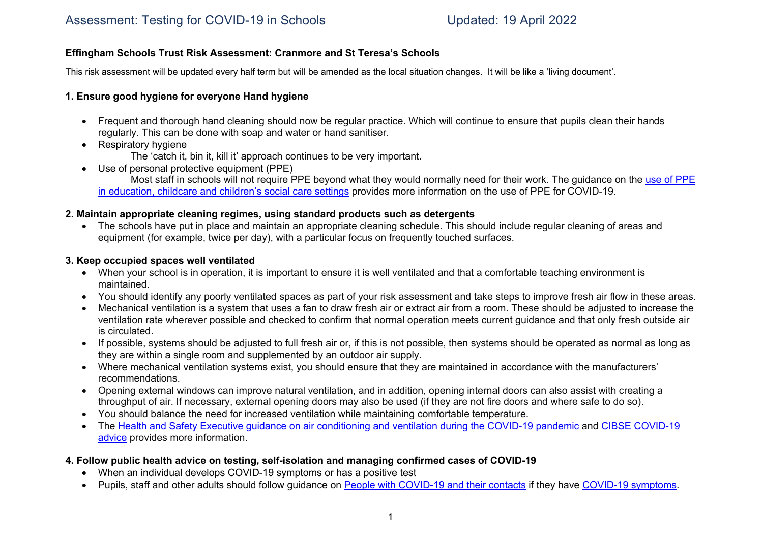### **Effingham Schools Trust Risk Assessment: Cranmore and St Teresa's Schools**

This risk assessment will be updated every half term but will be amended as the local situation changes. It will be like a 'living document'.

### **1. Ensure good hygiene for everyone Hand hygiene**

- Frequent and thorough hand cleaning should now be regular practice. Which will continue to ensure that pupils clean their hands regularly. This can be done with soap and water or hand sanitiser.
- Respiratory hygiene
	- The 'catch it, bin it, kill it' approach continues to be very important.
- Use of personal protective equipment (PPE)

Most staff in schools will not require PPE beyond what they would normally need for their work. The guidance on the use of PPE in education, childcare and children's social care settings provides more information on the use of PPE for COVID-19.

### **2. Maintain appropriate cleaning regimes, using standard products such as detergents**

• The schools have put in place and maintain an appropriate cleaning schedule. This should include regular cleaning of areas and equipment (for example, twice per day), with a particular focus on frequently touched surfaces.

### **3. Keep occupied spaces well ventilated**

- When your school is in operation, it is important to ensure it is well ventilated and that a comfortable teaching environment is maintained.
- You should identify any poorly ventilated spaces as part of your risk assessment and take steps to improve fresh air flow in these areas.
- Mechanical ventilation is a system that uses a fan to draw fresh air or extract air from a room. These should be adjusted to increase the ventilation rate wherever possible and checked to confirm that normal operation meets current guidance and that only fresh outside air is circulated.
- If possible, systems should be adjusted to full fresh air or, if this is not possible, then systems should be operated as normal as long as they are within a single room and supplemented by an outdoor air supply.
- Where mechanical ventilation systems exist, you should ensure that they are maintained in accordance with the manufacturers' recommendations.
- Opening external windows can improve natural ventilation, and in addition, opening internal doors can also assist with creating a throughput of air. If necessary, external opening doors may also be used (if they are not fire doors and where safe to do so).
- You should balance the need for increased ventilation while maintaining comfortable temperature.
- The Health and Safety Executive guidance on air conditioning and ventilation during the COVID-19 pandemic and CIBSE COVID-19 advice provides more information.
- **4. Follow public health advice on testing, self-isolation and managing confirmed cases of COVID-19** 
	- When an individual develops COVID-19 symptoms or has a positive test
	- Pupils, staff and other adults should follow guidance on People with COVID-19 and their contacts if they have COVID-19 symptoms.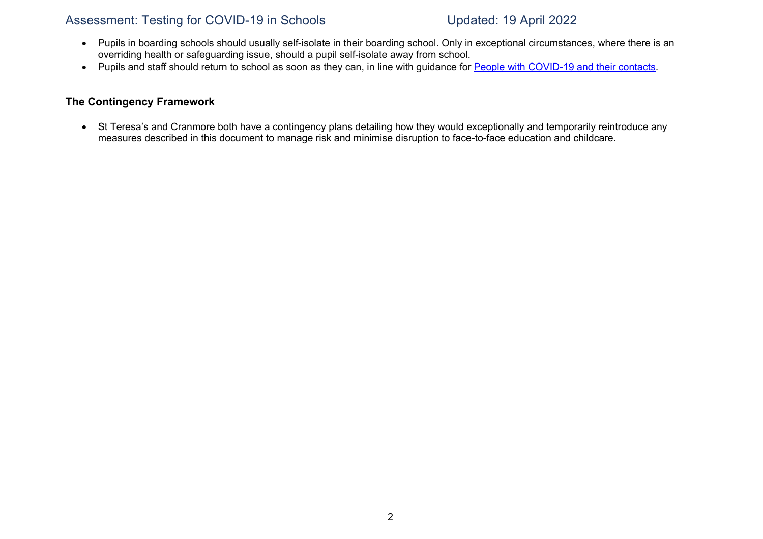- Pupils in boarding schools should usually self-isolate in their boarding school. Only in exceptional circumstances, where there is an overriding health or safeguarding issue, should a pupil self-isolate away from school.
- Pupils and staff should return to school as soon as they can, in line with guidance for People with COVID-19 and their contacts.

### **The Contingency Framework**

• St Teresa's and Cranmore both have a contingency plans detailing how they would exceptionally and temporarily reintroduce any measures described in this document to manage risk and minimise disruption to face-to-face education and childcare.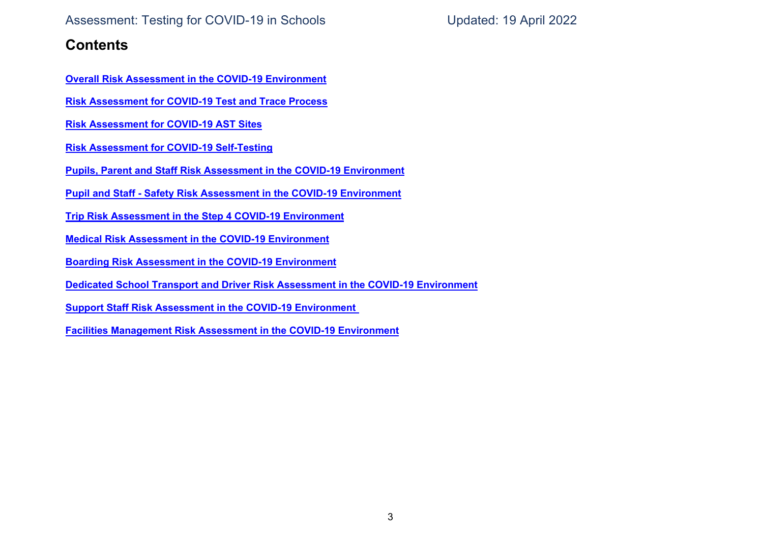## **Contents**

**Overall Risk Assessment in the COVID-19 Environment**

**Risk Assessment for COVID-19 Test and Trace Process**

**Risk Assessment for COVID-19 AST Sites**

**Risk Assessment for COVID-19 Self-Testing**

**Pupils, Parent and Staff Risk Assessment in the COVID-19 Environment**

**Pupil and Staff - Safety Risk Assessment in the COVID-19 Environment**

**Trip Risk Assessment in the Step 4 COVID-19 Environment**

**Medical Risk Assessment in the COVID-19 Environment**

**Boarding Risk Assessment in the COVID-19 Environment**

**Dedicated School Transport and Driver Risk Assessment in the COVID-19 Environment**

**Support Staff Risk Assessment in the COVID-19 Environment**

**Facilities Management Risk Assessment in the COVID-19 Environment**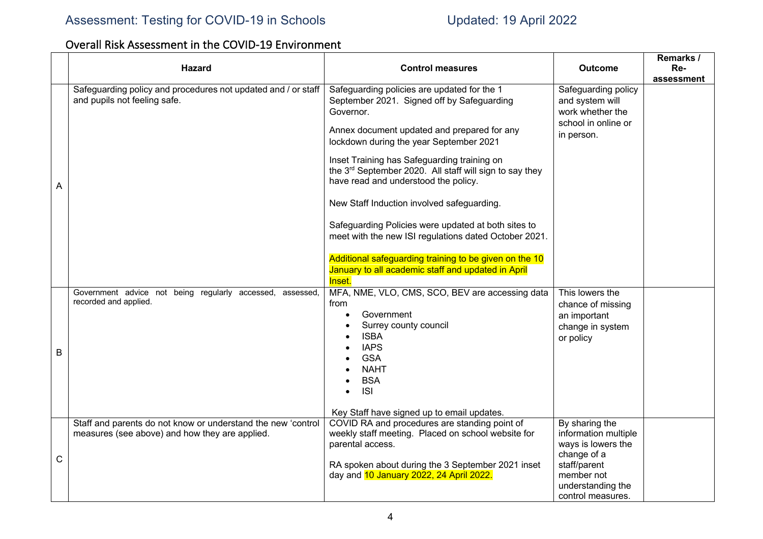# Overall Risk Assessment in the COVID-19 Environment

|   |   | <b>Hazard</b>                                                                                                  | <b>Control measures</b>                                                                                                                                                                          | <b>Outcome</b>                                                                                  | Remarks /<br>Re- |
|---|---|----------------------------------------------------------------------------------------------------------------|--------------------------------------------------------------------------------------------------------------------------------------------------------------------------------------------------|-------------------------------------------------------------------------------------------------|------------------|
|   |   |                                                                                                                |                                                                                                                                                                                                  |                                                                                                 | assessment       |
|   |   | Safeguarding policy and procedures not updated and / or staff<br>and pupils not feeling safe.                  | Safeguarding policies are updated for the 1<br>September 2021. Signed off by Safeguarding<br>Governor.<br>Annex document updated and prepared for any<br>lockdown during the year September 2021 | Safeguarding policy<br>and system will<br>work whether the<br>school in online or<br>in person. |                  |
| Α |   |                                                                                                                | Inset Training has Safeguarding training on<br>the 3rd September 2020. All staff will sign to say they<br>have read and understood the policy.                                                   |                                                                                                 |                  |
|   |   |                                                                                                                | New Staff Induction involved safeguarding.                                                                                                                                                       |                                                                                                 |                  |
|   |   |                                                                                                                | Safeguarding Policies were updated at both sites to<br>meet with the new ISI regulations dated October 2021.                                                                                     |                                                                                                 |                  |
|   |   |                                                                                                                | Additional safeguarding training to be given on the 10<br>January to all academic staff and updated in April<br>Inset.                                                                           |                                                                                                 |                  |
|   |   | Government advice not being regularly accessed, assessed,<br>recorded and applied.                             | MFA, NME, VLO, CMS, SCO, BEV are accessing data<br>from<br>Government<br>$\bullet$<br>Surrey county council                                                                                      | This lowers the<br>chance of missing<br>an important<br>change in system                        |                  |
|   | B |                                                                                                                | <b>ISBA</b><br>$\bullet$<br><b>IAPS</b><br><b>GSA</b><br><b>NAHT</b>                                                                                                                             | or policy                                                                                       |                  |
|   |   |                                                                                                                | <b>BSA</b><br><b>ISI</b><br>$\bullet$<br>Key Staff have signed up to email updates.                                                                                                              |                                                                                                 |                  |
|   |   | Staff and parents do not know or understand the new 'control<br>measures (see above) and how they are applied. | COVID RA and procedures are standing point of<br>weekly staff meeting. Placed on school website for<br>parental access.                                                                          | By sharing the<br>information multiple<br>ways is lowers the<br>change of a                     |                  |
|   | C |                                                                                                                | RA spoken about during the 3 September 2021 inset<br>day and 10 January 2022, 24 April 2022.                                                                                                     | staff/parent<br>member not<br>understanding the<br>control measures.                            |                  |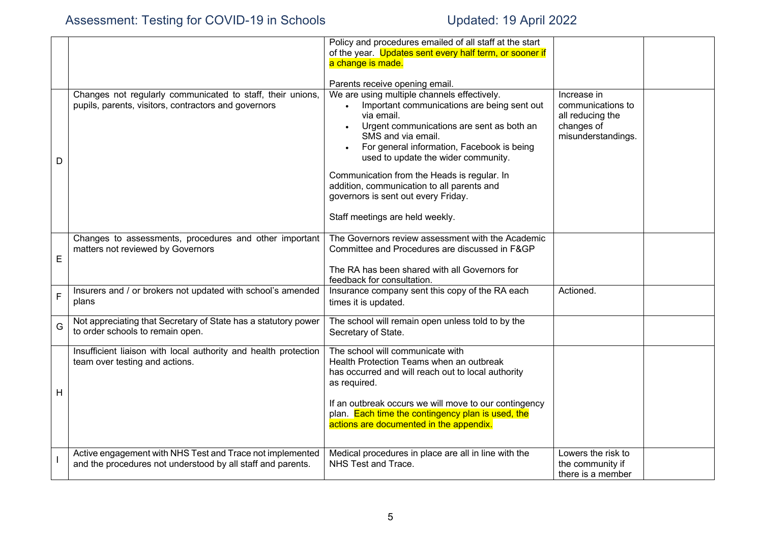|             |                                                                                                                          | Policy and procedures emailed of all staff at the start<br>of the year. Updates sent every half term, or sooner if<br>a change is made.                                                                                                                                                                                                                                                                                                 |                                                                                          |  |
|-------------|--------------------------------------------------------------------------------------------------------------------------|-----------------------------------------------------------------------------------------------------------------------------------------------------------------------------------------------------------------------------------------------------------------------------------------------------------------------------------------------------------------------------------------------------------------------------------------|------------------------------------------------------------------------------------------|--|
|             |                                                                                                                          | Parents receive opening email.                                                                                                                                                                                                                                                                                                                                                                                                          |                                                                                          |  |
| D           | Changes not regularly communicated to staff, their unions,<br>pupils, parents, visitors, contractors and governors       | We are using multiple channels effectively.<br>Important communications are being sent out<br>via email.<br>Urgent communications are sent as both an<br>SMS and via email.<br>For general information, Facebook is being<br>used to update the wider community.<br>Communication from the Heads is regular. In<br>addition, communication to all parents and<br>governors is sent out every Friday.<br>Staff meetings are held weekly. | Increase in<br>communications to<br>all reducing the<br>changes of<br>misunderstandings. |  |
| E           | Changes to assessments, procedures and other important<br>matters not reviewed by Governors                              | The Governors review assessment with the Academic<br>Committee and Procedures are discussed in F&GP<br>The RA has been shared with all Governors for                                                                                                                                                                                                                                                                                    |                                                                                          |  |
| $\mathsf F$ | Insurers and / or brokers not updated with school's amended<br>plans                                                     | feedback for consultation.<br>Insurance company sent this copy of the RA each<br>times it is updated.                                                                                                                                                                                                                                                                                                                                   | Actioned.                                                                                |  |
| G           | Not appreciating that Secretary of State has a statutory power<br>to order schools to remain open.                       | The school will remain open unless told to by the<br>Secretary of State.                                                                                                                                                                                                                                                                                                                                                                |                                                                                          |  |
| н           | Insufficient liaison with local authority and health protection<br>team over testing and actions.                        | The school will communicate with<br>Health Protection Teams when an outbreak<br>has occurred and will reach out to local authority<br>as required.<br>If an outbreak occurs we will move to our contingency<br>plan. Each time the contingency plan is used, the<br>actions are documented in the appendix.                                                                                                                             |                                                                                          |  |
|             | Active engagement with NHS Test and Trace not implemented<br>and the procedures not understood by all staff and parents. | Medical procedures in place are all in line with the<br>NHS Test and Trace.                                                                                                                                                                                                                                                                                                                                                             | Lowers the risk to<br>the community if<br>there is a member                              |  |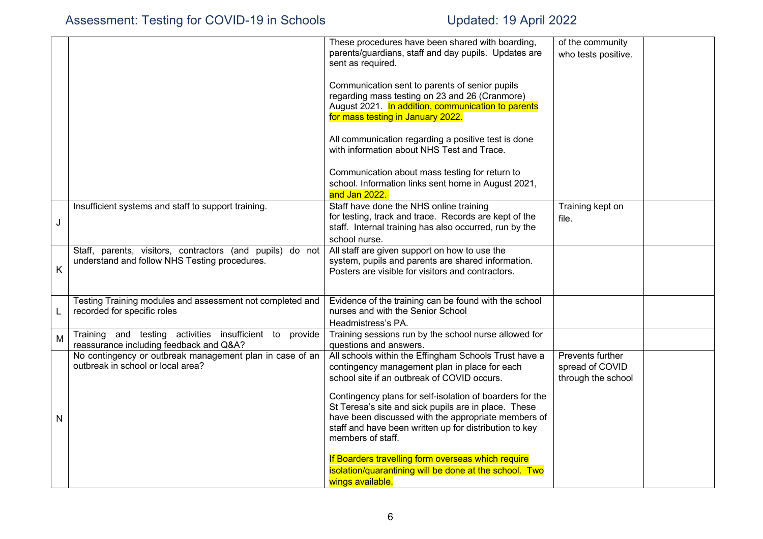|                                                                                                            | These procedures have been shared with boarding,<br>parents/guardians, staff and day pupils. Updates are<br>sent as required.                                                                                                                                                                                                                                                                                   | of the community<br>who tests positive.                   |  |
|------------------------------------------------------------------------------------------------------------|-----------------------------------------------------------------------------------------------------------------------------------------------------------------------------------------------------------------------------------------------------------------------------------------------------------------------------------------------------------------------------------------------------------------|-----------------------------------------------------------|--|
|                                                                                                            |                                                                                                                                                                                                                                                                                                                                                                                                                 |                                                           |  |
|                                                                                                            | Communication sent to parents of senior pupils<br>regarding mass testing on 23 and 26 (Cranmore)<br>August 2021. In addition, communication to parents<br>for mass testing in January 2022.                                                                                                                                                                                                                     |                                                           |  |
|                                                                                                            | All communication regarding a positive test is done<br>with information about NHS Test and Trace.                                                                                                                                                                                                                                                                                                               |                                                           |  |
|                                                                                                            | Communication about mass testing for return to<br>school. Information links sent home in August 2021,<br>and Jan 2022.                                                                                                                                                                                                                                                                                          |                                                           |  |
| Insufficient systems and staff to support training.                                                        | Staff have done the NHS online training<br>for testing, track and trace. Records are kept of the<br>staff. Internal training has also occurred, run by the<br>school nurse.                                                                                                                                                                                                                                     | Training kept on<br>file.                                 |  |
| Staff, parents, visitors, contractors (and pupils) do not<br>understand and follow NHS Testing procedures. | All staff are given support on how to use the<br>system, pupils and parents are shared information.<br>Posters are visible for visitors and contractors.                                                                                                                                                                                                                                                        |                                                           |  |
| Testing Training modules and assessment not completed and<br>recorded for specific roles                   | Evidence of the training can be found with the school<br>nurses and with the Senior School<br>Headmistress's PA.                                                                                                                                                                                                                                                                                                |                                                           |  |
| Training and testing activities insufficient to provide                                                    | Training sessions run by the school nurse allowed for                                                                                                                                                                                                                                                                                                                                                           |                                                           |  |
| No contingency or outbreak management plan in case of an<br>outbreak in school or local area?              | All schools within the Effingham Schools Trust have a<br>contingency management plan in place for each<br>school site if an outbreak of COVID occurs.<br>Contingency plans for self-isolation of boarders for the<br>St Teresa's site and sick pupils are in place. These<br>have been discussed with the appropriate members of<br>staff and have been written up for distribution to key<br>members of staff. | Prevents further<br>spread of COVID<br>through the school |  |
|                                                                                                            | reassurance including feedback and Q&A?                                                                                                                                                                                                                                                                                                                                                                         | questions and answers.                                    |  |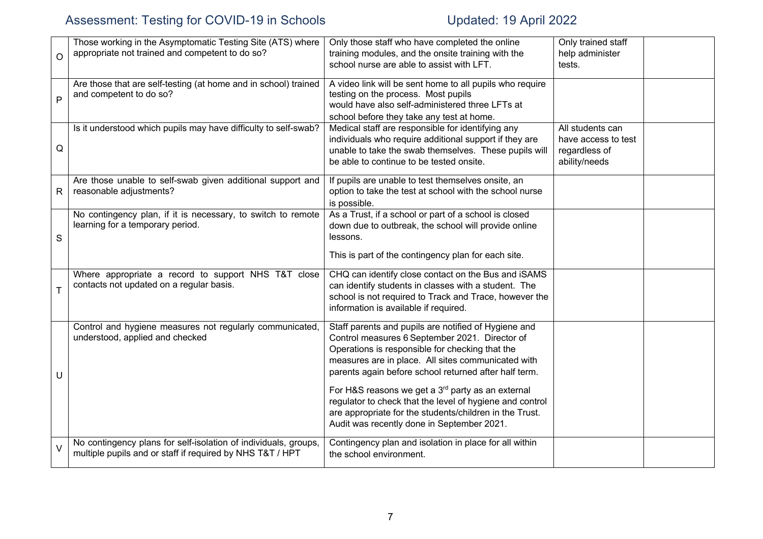| O           | Those working in the Asymptomatic Testing Site (ATS) where<br>appropriate not trained and competent to do so?                | Only those staff who have completed the online<br>training modules, and the onsite training with the<br>school nurse are able to assist with LFT.                                                                                                                        | Only trained staff<br>help administer<br>tests.                           |  |
|-------------|------------------------------------------------------------------------------------------------------------------------------|--------------------------------------------------------------------------------------------------------------------------------------------------------------------------------------------------------------------------------------------------------------------------|---------------------------------------------------------------------------|--|
| P           | Are those that are self-testing (at home and in school) trained<br>and competent to do so?                                   | A video link will be sent home to all pupils who require<br>testing on the process. Most pupils<br>would have also self-administered three LFTs at<br>school before they take any test at home.                                                                          |                                                                           |  |
| Q           | Is it understood which pupils may have difficulty to self-swab?                                                              | Medical staff are responsible for identifying any<br>individuals who require additional support if they are<br>unable to take the swab themselves. These pupils will<br>be able to continue to be tested onsite.                                                         | All students can<br>have access to test<br>regardless of<br>ability/needs |  |
| R           | Are those unable to self-swab given additional support and<br>reasonable adjustments?                                        | If pupils are unable to test themselves onsite, an<br>option to take the test at school with the school nurse<br>is possible.                                                                                                                                            |                                                                           |  |
| $\mathbf S$ | No contingency plan, if it is necessary, to switch to remote<br>learning for a temporary period.                             | As a Trust, if a school or part of a school is closed<br>down due to outbreak, the school will provide online<br>lessons.<br>This is part of the contingency plan for each site.                                                                                         |                                                                           |  |
| T           | Where appropriate a record to support NHS T&T close<br>contacts not updated on a regular basis.                              | CHQ can identify close contact on the Bus and iSAMS<br>can identify students in classes with a student. The<br>school is not required to Track and Trace, however the<br>information is available if required.                                                           |                                                                           |  |
| U           | Control and hygiene measures not regularly communicated,<br>understood, applied and checked                                  | Staff parents and pupils are notified of Hygiene and<br>Control measures 6 September 2021. Director of<br>Operations is responsible for checking that the<br>measures are in place. All sites communicated with<br>parents again before school returned after half term. |                                                                           |  |
|             |                                                                                                                              | For H&S reasons we get a 3 <sup>rd</sup> party as an external<br>regulator to check that the level of hygiene and control<br>are appropriate for the students/children in the Trust.<br>Audit was recently done in September 2021.                                       |                                                                           |  |
| V           | No contingency plans for self-isolation of individuals, groups,<br>multiple pupils and or staff if required by NHS T&T / HPT | Contingency plan and isolation in place for all within<br>the school environment.                                                                                                                                                                                        |                                                                           |  |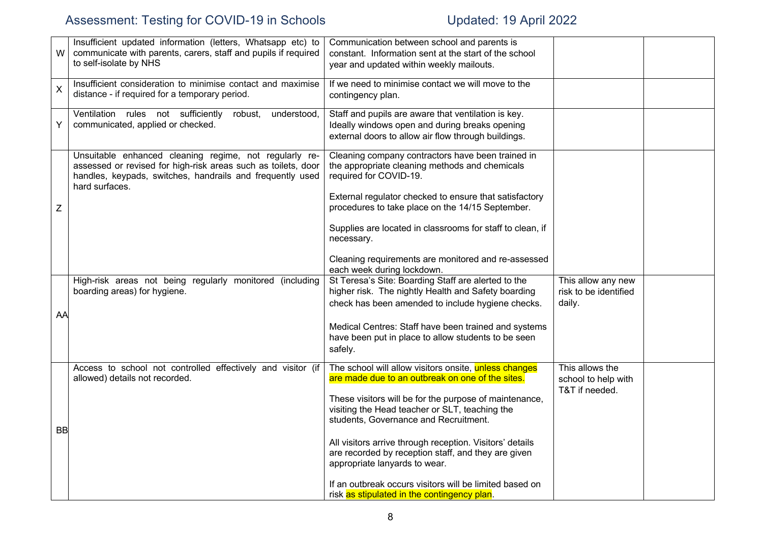| W                         | Insufficient updated information (letters, Whatsapp etc) to<br>communicate with parents, carers, staff and pupils if required<br>to self-isolate by NHS                                                | Communication between school and parents is<br>constant. Information sent at the start of the school<br>year and updated within weekly mailouts.                |                                                          |  |
|---------------------------|--------------------------------------------------------------------------------------------------------------------------------------------------------------------------------------------------------|-----------------------------------------------------------------------------------------------------------------------------------------------------------------|----------------------------------------------------------|--|
| $\boldsymbol{\mathsf{X}}$ | Insufficient consideration to minimise contact and maximise<br>distance - if required for a temporary period.                                                                                          | If we need to minimise contact we will move to the<br>contingency plan.                                                                                         |                                                          |  |
| Y                         | Ventilation rules not sufficiently<br>robust,<br>understood,<br>communicated, applied or checked.                                                                                                      | Staff and pupils are aware that ventilation is key.<br>Ideally windows open and during breaks opening<br>external doors to allow air flow through buildings.    |                                                          |  |
|                           | Unsuitable enhanced cleaning regime, not regularly re-<br>assessed or revised for high-risk areas such as toilets, door<br>handles, keypads, switches, handrails and frequently used<br>hard surfaces. | Cleaning company contractors have been trained in<br>the appropriate cleaning methods and chemicals<br>required for COVID-19.                                   |                                                          |  |
| Ζ                         |                                                                                                                                                                                                        | External regulator checked to ensure that satisfactory<br>procedures to take place on the 14/15 September.                                                      |                                                          |  |
|                           |                                                                                                                                                                                                        | Supplies are located in classrooms for staff to clean, if<br>necessary.                                                                                         |                                                          |  |
|                           |                                                                                                                                                                                                        | Cleaning requirements are monitored and re-assessed<br>each week during lockdown.                                                                               |                                                          |  |
| AA                        | High-risk areas not being regularly monitored (including<br>boarding areas) for hygiene.                                                                                                               | St Teresa's Site: Boarding Staff are alerted to the<br>higher risk. The nightly Health and Safety boarding<br>check has been amended to include hygiene checks. | This allow any new<br>risk to be identified<br>daily.    |  |
|                           |                                                                                                                                                                                                        | Medical Centres: Staff have been trained and systems<br>have been put in place to allow students to be seen<br>safely.                                          |                                                          |  |
|                           | Access to school not controlled effectively and visitor (if<br>allowed) details not recorded.                                                                                                          | The school will allow visitors onsite, unless changes<br>are made due to an outbreak on one of the sites.                                                       | This allows the<br>school to help with<br>T&T if needed. |  |
| <b>BB</b>                 |                                                                                                                                                                                                        | These visitors will be for the purpose of maintenance,<br>visiting the Head teacher or SLT, teaching the<br>students, Governance and Recruitment.               |                                                          |  |
|                           |                                                                                                                                                                                                        | All visitors arrive through reception. Visitors' details<br>are recorded by reception staff, and they are given<br>appropriate lanyards to wear.                |                                                          |  |
|                           |                                                                                                                                                                                                        | If an outbreak occurs visitors will be limited based on<br>risk as stipulated in the contingency plan.                                                          |                                                          |  |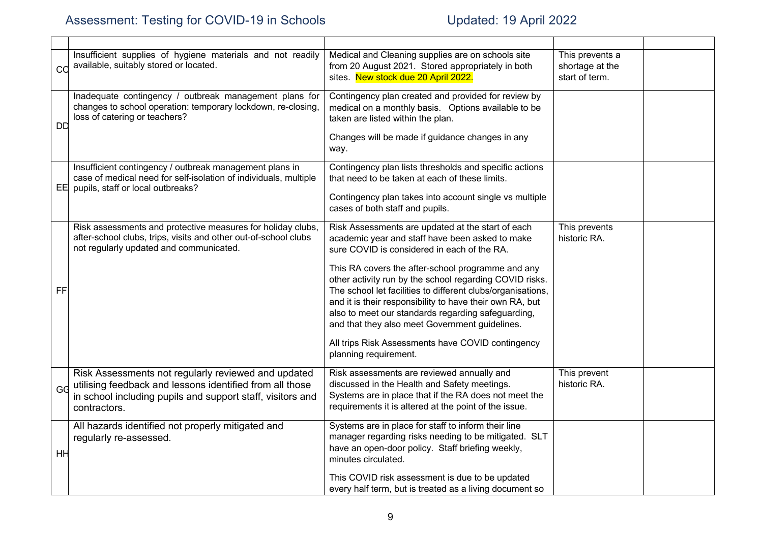| cc        | Insufficient supplies of hygiene materials and not readily<br>available, suitably stored or located.                                                                                          | Medical and Cleaning supplies are on schools site<br>from 20 August 2021. Stored appropriately in both<br>sites. New stock due 20 April 2022.                                                                                                                                                                                                                                                                                                                                                                                                                                        | This prevents a<br>shortage at the<br>start of term. |  |
|-----------|-----------------------------------------------------------------------------------------------------------------------------------------------------------------------------------------------|--------------------------------------------------------------------------------------------------------------------------------------------------------------------------------------------------------------------------------------------------------------------------------------------------------------------------------------------------------------------------------------------------------------------------------------------------------------------------------------------------------------------------------------------------------------------------------------|------------------------------------------------------|--|
| <b>DD</b> | Inadequate contingency / outbreak management plans for<br>changes to school operation: temporary lockdown, re-closing,<br>loss of catering or teachers?                                       | Contingency plan created and provided for review by<br>medical on a monthly basis. Options available to be<br>taken are listed within the plan.<br>Changes will be made if guidance changes in any<br>way.                                                                                                                                                                                                                                                                                                                                                                           |                                                      |  |
|           | Insufficient contingency / outbreak management plans in<br>case of medical need for self-isolation of individuals, multiple<br>EE pupils, staff or local outbreaks?                           | Contingency plan lists thresholds and specific actions<br>that need to be taken at each of these limits.<br>Contingency plan takes into account single vs multiple<br>cases of both staff and pupils.                                                                                                                                                                                                                                                                                                                                                                                |                                                      |  |
| FF        | Risk assessments and protective measures for holiday clubs,<br>after-school clubs, trips, visits and other out-of-school clubs<br>not regularly updated and communicated.                     | Risk Assessments are updated at the start of each<br>academic year and staff have been asked to make<br>sure COVID is considered in each of the RA.<br>This RA covers the after-school programme and any<br>other activity run by the school regarding COVID risks.<br>The school let facilities to different clubs/organisations,<br>and it is their responsibility to have their own RA, but<br>also to meet our standards regarding safeguarding,<br>and that they also meet Government guidelines.<br>All trips Risk Assessments have COVID contingency<br>planning requirement. | This prevents<br>historic RA.                        |  |
| GG        | Risk Assessments not regularly reviewed and updated<br>utilising feedback and lessons identified from all those<br>in school including pupils and support staff, visitors and<br>contractors. | Risk assessments are reviewed annually and<br>discussed in the Health and Safety meetings.<br>Systems are in place that if the RA does not meet the<br>requirements it is altered at the point of the issue.                                                                                                                                                                                                                                                                                                                                                                         | This prevent<br>historic RA.                         |  |
| HH        | All hazards identified not properly mitigated and<br>regularly re-assessed.                                                                                                                   | Systems are in place for staff to inform their line<br>manager regarding risks needing to be mitigated. SLT<br>have an open-door policy. Staff briefing weekly,<br>minutes circulated.<br>This COVID risk assessment is due to be updated                                                                                                                                                                                                                                                                                                                                            |                                                      |  |
|           |                                                                                                                                                                                               | every half term, but is treated as a living document so                                                                                                                                                                                                                                                                                                                                                                                                                                                                                                                              |                                                      |  |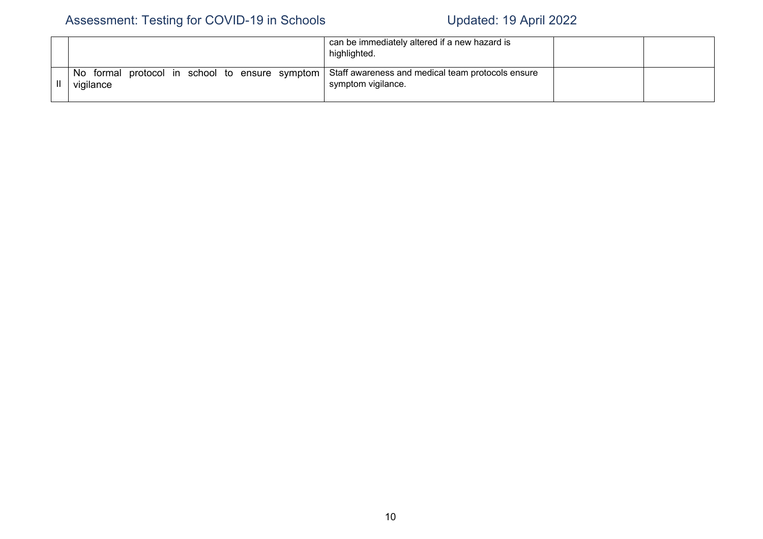|                        | can be immediately altered if a new hazard is<br>highlighted.                                                  |  |
|------------------------|----------------------------------------------------------------------------------------------------------------|--|
| No formal<br>vigilance | protocol in school to ensure symptom   Staff awareness and medical team protocols ensure<br>symptom vigilance. |  |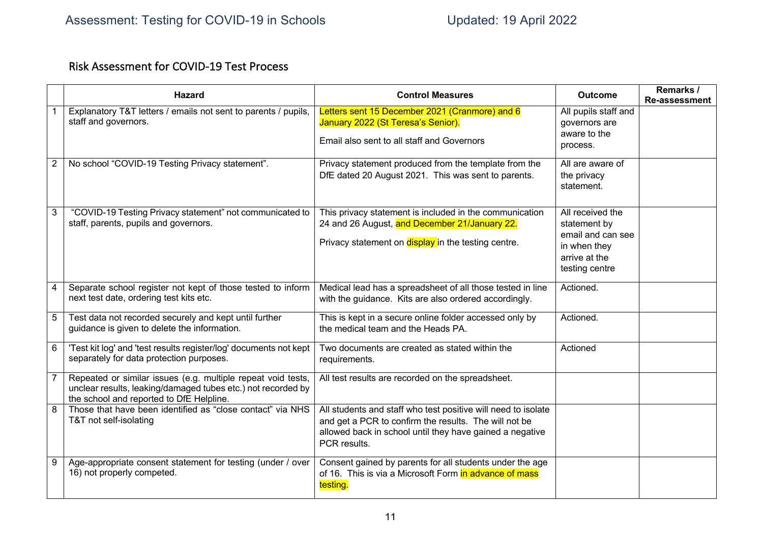## Risk Assessment for COVID-19 Test Process

|                | <b>Hazard</b>                                                                                                                                                            | <b>Control Measures</b>                                                                                                                                                                            | <b>Outcome</b>                                                                                           | Remarks /<br><b>Re-assessment</b> |
|----------------|--------------------------------------------------------------------------------------------------------------------------------------------------------------------------|----------------------------------------------------------------------------------------------------------------------------------------------------------------------------------------------------|----------------------------------------------------------------------------------------------------------|-----------------------------------|
|                | Explanatory T&T letters / emails not sent to parents / pupils,<br>staff and governors.                                                                                   | Letters sent 15 December 2021 (Cranmore) and 6<br>January 2022 (St Teresa's Senior).<br>Email also sent to all staff and Governors                                                                 | All pupils staff and<br>governors are<br>aware to the<br>process.                                        |                                   |
| $\overline{2}$ | No school "COVID-19 Testing Privacy statement".                                                                                                                          | Privacy statement produced from the template from the<br>DfE dated 20 August 2021. This was sent to parents.                                                                                       | All are aware of<br>the privacy<br>statement.                                                            |                                   |
| 3              | "COVID-19 Testing Privacy statement" not communicated to<br>staff, parents, pupils and governors.                                                                        | This privacy statement is included in the communication<br>24 and 26 August, and December 21/January 22.<br>Privacy statement on display in the testing centre.                                    | All received the<br>statement by<br>email and can see<br>in when they<br>arrive at the<br>testing centre |                                   |
| $\overline{4}$ | Separate school register not kept of those tested to inform<br>next test date, ordering test kits etc.                                                                   | Medical lead has a spreadsheet of all those tested in line<br>with the guidance. Kits are also ordered accordingly.                                                                                | Actioned.                                                                                                |                                   |
| 5              | Test data not recorded securely and kept until further<br>guidance is given to delete the information.                                                                   | This is kept in a secure online folder accessed only by<br>the medical team and the Heads PA.                                                                                                      | Actioned.                                                                                                |                                   |
| 6              | 'Test kit log' and 'test results register/log' documents not kept<br>separately for data protection purposes.                                                            | Two documents are created as stated within the<br>requirements.                                                                                                                                    | Actioned                                                                                                 |                                   |
| $\overline{7}$ | Repeated or similar issues (e.g. multiple repeat void tests,<br>unclear results, leaking/damaged tubes etc.) not recorded by<br>the school and reported to DfE Helpline. | All test results are recorded on the spreadsheet.                                                                                                                                                  |                                                                                                          |                                   |
| 8              | Those that have been identified as "close contact" via NHS<br>T&T not self-isolating                                                                                     | All students and staff who test positive will need to isolate<br>and get a PCR to confirm the results. The will not be<br>allowed back in school until they have gained a negative<br>PCR results. |                                                                                                          |                                   |
| 9              | Age-appropriate consent statement for testing (under / over<br>16) not properly competed.                                                                                | Consent gained by parents for all students under the age<br>of 16. This is via a Microsoft Form in advance of mass<br>testing.                                                                     |                                                                                                          |                                   |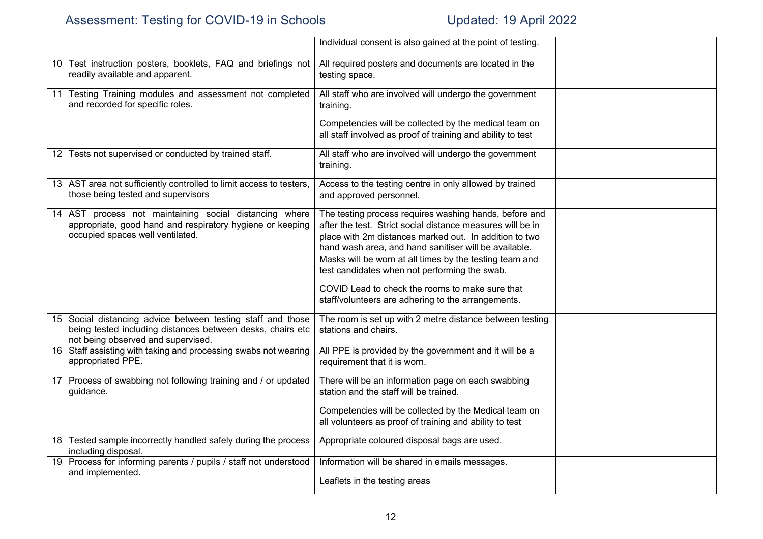|            |                                                                                                                                                              | Individual consent is also gained at the point of testing.                                                                                                                                                                                                                                                                                                                                                                                                   |  |
|------------|--------------------------------------------------------------------------------------------------------------------------------------------------------------|--------------------------------------------------------------------------------------------------------------------------------------------------------------------------------------------------------------------------------------------------------------------------------------------------------------------------------------------------------------------------------------------------------------------------------------------------------------|--|
| 10         | Test instruction posters, booklets, FAQ and briefings not<br>readily available and apparent.                                                                 | All required posters and documents are located in the<br>testing space.                                                                                                                                                                                                                                                                                                                                                                                      |  |
| 11         | Testing Training modules and assessment not completed<br>and recorded for specific roles.                                                                    | All staff who are involved will undergo the government<br>training.                                                                                                                                                                                                                                                                                                                                                                                          |  |
|            |                                                                                                                                                              | Competencies will be collected by the medical team on<br>all staff involved as proof of training and ability to test                                                                                                                                                                                                                                                                                                                                         |  |
|            | 12 Tests not supervised or conducted by trained staff.                                                                                                       | All staff who are involved will undergo the government<br>training.                                                                                                                                                                                                                                                                                                                                                                                          |  |
|            | 13 AST area not sufficiently controlled to limit access to testers,<br>those being tested and supervisors                                                    | Access to the testing centre in only allowed by trained<br>and approved personnel.                                                                                                                                                                                                                                                                                                                                                                           |  |
| 14         | AST process not maintaining social distancing where<br>appropriate, good hand and respiratory hygiene or keeping<br>occupied spaces well ventilated.         | The testing process requires washing hands, before and<br>after the test. Strict social distance measures will be in<br>place with 2m distances marked out. In addition to two<br>hand wash area, and hand sanitiser will be available.<br>Masks will be worn at all times by the testing team and<br>test candidates when not performing the swab.<br>COVID Lead to check the rooms to make sure that<br>staff/volunteers are adhering to the arrangements. |  |
| 15 I       | Social distancing advice between testing staff and those<br>being tested including distances between desks, chairs etc<br>not being observed and supervised. | The room is set up with 2 metre distance between testing<br>stations and chairs.                                                                                                                                                                                                                                                                                                                                                                             |  |
| 16         | Staff assisting with taking and processing swabs not wearing<br>appropriated PPE.                                                                            | All PPE is provided by the government and it will be a<br>requirement that it is worn.                                                                                                                                                                                                                                                                                                                                                                       |  |
| <u>171</u> | Process of swabbing not following training and / or updated<br>guidance.                                                                                     | There will be an information page on each swabbing<br>station and the staff will be trained.                                                                                                                                                                                                                                                                                                                                                                 |  |
|            |                                                                                                                                                              | Competencies will be collected by the Medical team on<br>all volunteers as proof of training and ability to test                                                                                                                                                                                                                                                                                                                                             |  |
| 18         | Tested sample incorrectly handled safely during the process<br>including disposal.                                                                           | Appropriate coloured disposal bags are used.                                                                                                                                                                                                                                                                                                                                                                                                                 |  |
| 19         | Process for informing parents / pupils / staff not understood<br>and implemented.                                                                            | Information will be shared in emails messages.<br>Leaflets in the testing areas                                                                                                                                                                                                                                                                                                                                                                              |  |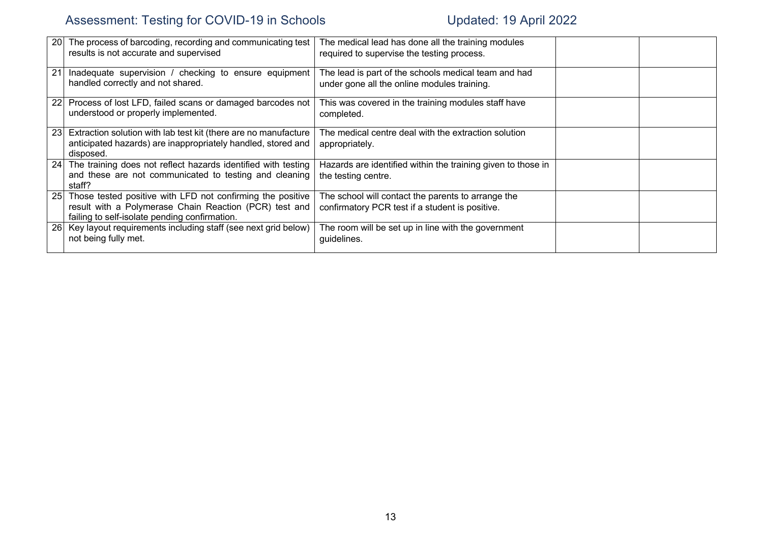| 20 | The process of barcoding, recording and communicating test<br>results is not accurate and supervised                                                                  | The medical lead has done all the training modules<br>required to supervise the testing process.      |  |
|----|-----------------------------------------------------------------------------------------------------------------------------------------------------------------------|-------------------------------------------------------------------------------------------------------|--|
| 21 | Inadequate supervision / checking to ensure equipment<br>handled correctly and not shared.                                                                            | The lead is part of the schools medical team and had<br>under gone all the online modules training.   |  |
|    | 22 Process of lost LFD, failed scans or damaged barcodes not<br>understood or properly implemented.                                                                   | This was covered in the training modules staff have<br>completed.                                     |  |
| 23 | Extraction solution with lab test kit (there are no manufacture<br>anticipated hazards) are inappropriately handled, stored and<br>disposed.                          | The medical centre deal with the extraction solution<br>appropriately.                                |  |
|    | 24 The training does not reflect hazards identified with testing<br>and these are not communicated to testing and cleaning<br>staff?                                  | Hazards are identified within the training given to those in<br>the testing centre.                   |  |
| 25 | Those tested positive with LFD not confirming the positive<br>result with a Polymerase Chain Reaction (PCR) test and<br>failing to self-isolate pending confirmation. | The school will contact the parents to arrange the<br>confirmatory PCR test if a student is positive. |  |
|    | 26 Key layout requirements including staff (see next grid below)<br>not being fully met.                                                                              | The room will be set up in line with the government<br>guidelines.                                    |  |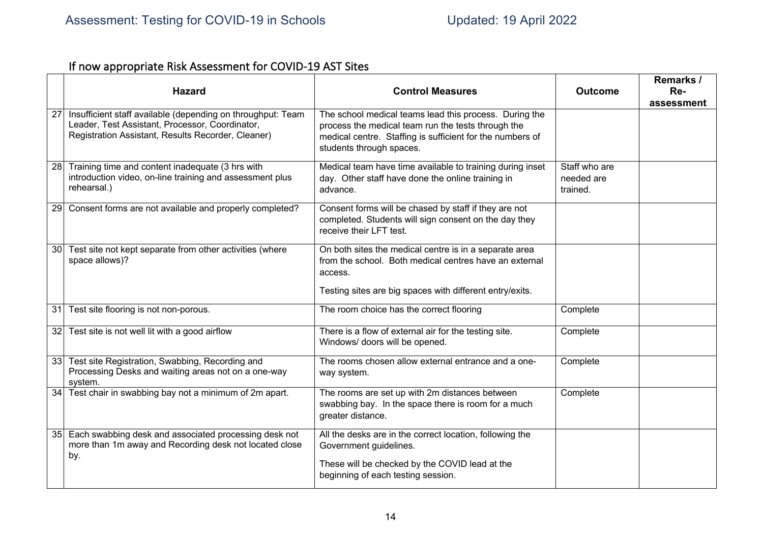# If now appropriate Risk Assessment for COVID-19 AST Sites

|                 | <b>Hazard</b>                                                                                                                                                        | <b>Control Measures</b>                                                                                                                                                                               | <b>Outcome</b>                          | Remarks /<br>Re-<br>assessment |
|-----------------|----------------------------------------------------------------------------------------------------------------------------------------------------------------------|-------------------------------------------------------------------------------------------------------------------------------------------------------------------------------------------------------|-----------------------------------------|--------------------------------|
| 27              | Insufficient staff available (depending on throughput: Team<br>Leader, Test Assistant, Processor, Coordinator,<br>Registration Assistant, Results Recorder, Cleaner) | The school medical teams lead this process. During the<br>process the medical team run the tests through the<br>medical centre. Staffing is sufficient for the numbers of<br>students through spaces. |                                         |                                |
| 28              | Training time and content inadequate (3 hrs with<br>introduction video, on-line training and assessment plus<br>rehearsal.)                                          | Medical team have time available to training during inset<br>day. Other staff have done the online training in<br>advance.                                                                            | Staff who are<br>needed are<br>trained. |                                |
| 29              | Consent forms are not available and properly completed?                                                                                                              | Consent forms will be chased by staff if they are not<br>completed. Students will sign consent on the day they<br>receive their LFT test.                                                             |                                         |                                |
| 30 <sup>°</sup> | Test site not kept separate from other activities (where<br>space allows)?                                                                                           | On both sites the medical centre is in a separate area<br>from the school. Both medical centres have an external<br>access.<br>Testing sites are big spaces with different entry/exits.               |                                         |                                |
| 31              | Test site flooring is not non-porous.                                                                                                                                | The room choice has the correct flooring                                                                                                                                                              | Complete                                |                                |
|                 | 32 Test site is not well lit with a good airflow                                                                                                                     | There is a flow of external air for the testing site.<br>Windows/ doors will be opened.                                                                                                               | Complete                                |                                |
|                 | 33 Test site Registration, Swabbing, Recording and<br>Processing Desks and waiting areas not on a one-way<br>system.                                                 | The rooms chosen allow external entrance and a one-<br>way system.                                                                                                                                    | Complete                                |                                |
|                 | 34 Test chair in swabbing bay not a minimum of 2m apart.                                                                                                             | The rooms are set up with 2m distances between<br>swabbing bay. In the space there is room for a much<br>greater distance.                                                                            | Complete                                |                                |
| 35              | Each swabbing desk and associated processing desk not<br>more than 1m away and Recording desk not located close<br>by.                                               | All the desks are in the correct location, following the<br>Government guidelines.<br>These will be checked by the COVID lead at the<br>beginning of each testing session.                            |                                         |                                |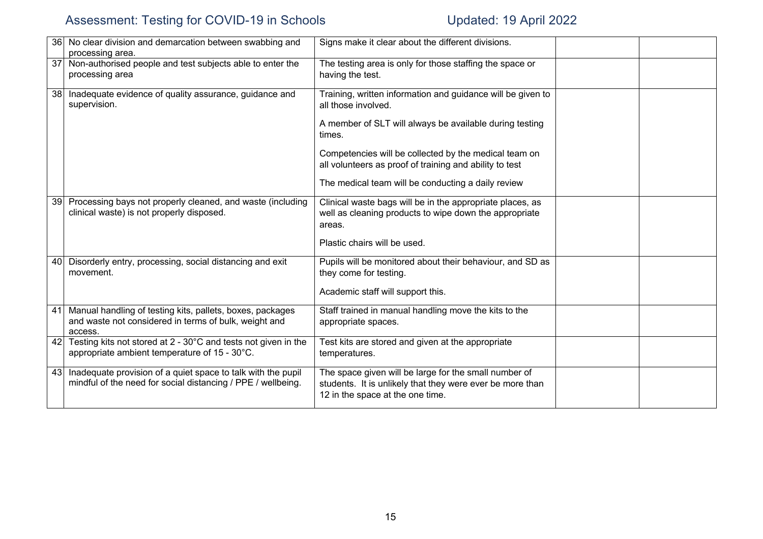|                 | 36 No clear division and demarcation between swabbing and<br>processing area.                                                 | Signs make it clear about the different divisions.                                                                                                                                                                                                                                                                                |  |
|-----------------|-------------------------------------------------------------------------------------------------------------------------------|-----------------------------------------------------------------------------------------------------------------------------------------------------------------------------------------------------------------------------------------------------------------------------------------------------------------------------------|--|
|                 | 37 Non-authorised people and test subjects able to enter the<br>processing area                                               | The testing area is only for those staffing the space or<br>having the test.                                                                                                                                                                                                                                                      |  |
| 38 <sup>1</sup> | Inadequate evidence of quality assurance, guidance and<br>supervision.                                                        | Training, written information and guidance will be given to<br>all those involved.<br>A member of SLT will always be available during testing<br>times.<br>Competencies will be collected by the medical team on<br>all volunteers as proof of training and ability to test<br>The medical team will be conducting a daily review |  |
| 39 <sup>°</sup> | Processing bays not properly cleaned, and waste (including<br>clinical waste) is not properly disposed.                       | Clinical waste bags will be in the appropriate places, as<br>well as cleaning products to wipe down the appropriate<br>areas.<br>Plastic chairs will be used.                                                                                                                                                                     |  |
|                 | 40 Disorderly entry, processing, social distancing and exit<br>movement.                                                      | Pupils will be monitored about their behaviour, and SD as<br>they come for testing.<br>Academic staff will support this.                                                                                                                                                                                                          |  |
| 41              | Manual handling of testing kits, pallets, boxes, packages<br>and waste not considered in terms of bulk, weight and<br>access. | Staff trained in manual handling move the kits to the<br>appropriate spaces.                                                                                                                                                                                                                                                      |  |
| 42              | Testing kits not stored at 2 - 30°C and tests not given in the<br>appropriate ambient temperature of 15 - 30°C.               | Test kits are stored and given at the appropriate<br>temperatures.                                                                                                                                                                                                                                                                |  |
| 43              | Inadequate provision of a quiet space to talk with the pupil<br>mindful of the need for social distancing / PPE / wellbeing.  | The space given will be large for the small number of<br>students. It is unlikely that they were ever be more than<br>12 in the space at the one time.                                                                                                                                                                            |  |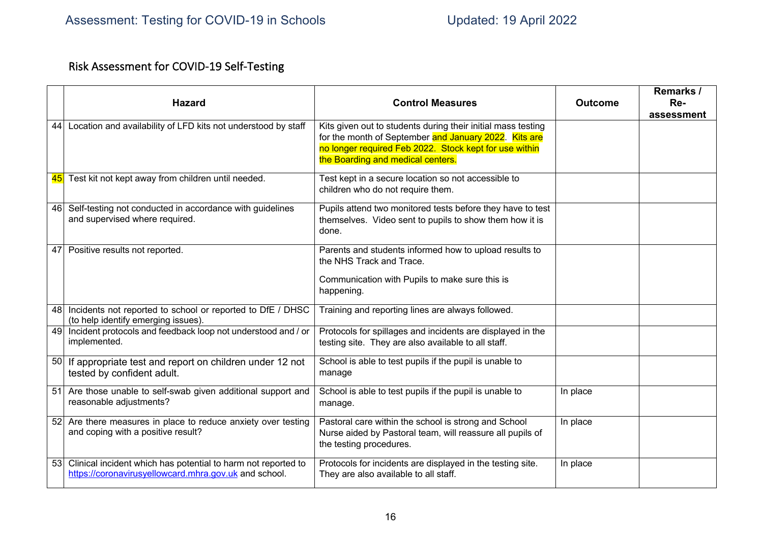# Risk Assessment for COVID-19 Self-Testing

|    | <b>Hazard</b>                                                                                                          | <b>Control Measures</b>                                                                                                                                                                                              | <b>Outcome</b> | Remarks /<br>Re- |
|----|------------------------------------------------------------------------------------------------------------------------|----------------------------------------------------------------------------------------------------------------------------------------------------------------------------------------------------------------------|----------------|------------------|
|    |                                                                                                                        |                                                                                                                                                                                                                      |                | assessment       |
| 44 | Location and availability of LFD kits not understood by staff                                                          | Kits given out to students during their initial mass testing<br>for the month of September and January 2022. Kits are<br>no longer required Feb 2022. Stock kept for use within<br>the Boarding and medical centers. |                |                  |
| 45 | Test kit not kept away from children until needed.                                                                     | Test kept in a secure location so not accessible to<br>children who do not require them.                                                                                                                             |                |                  |
|    | 46 Self-testing not conducted in accordance with guidelines<br>and supervised where required.                          | Pupils attend two monitored tests before they have to test<br>themselves. Video sent to pupils to show them how it is<br>done.                                                                                       |                |                  |
|    | 47 Positive results not reported.                                                                                      | Parents and students informed how to upload results to<br>the NHS Track and Trace.<br>Communication with Pupils to make sure this is<br>happening.                                                                   |                |                  |
| 48 | Incidents not reported to school or reported to DfE / DHSC<br>(to help identify emerging issues).                      | Training and reporting lines are always followed.                                                                                                                                                                    |                |                  |
| 49 | Incident protocols and feedback loop not understood and / or<br>implemented.                                           | Protocols for spillages and incidents are displayed in the<br>testing site. They are also available to all staff.                                                                                                    |                |                  |
|    | 50 If appropriate test and report on children under 12 not<br>tested by confident adult.                               | School is able to test pupils if the pupil is unable to<br>manage                                                                                                                                                    |                |                  |
| 51 | Are those unable to self-swab given additional support and<br>reasonable adjustments?                                  | School is able to test pupils if the pupil is unable to<br>manage.                                                                                                                                                   | In place       |                  |
|    | 52 Are there measures in place to reduce anxiety over testing<br>and coping with a positive result?                    | Pastoral care within the school is strong and School<br>Nurse aided by Pastoral team, will reassure all pupils of<br>the testing procedures.                                                                         | In place       |                  |
| 53 | Clinical incident which has potential to harm not reported to<br>https://coronavirusyellowcard.mhra.gov.uk and school. | Protocols for incidents are displayed in the testing site.<br>They are also available to all staff.                                                                                                                  | In place       |                  |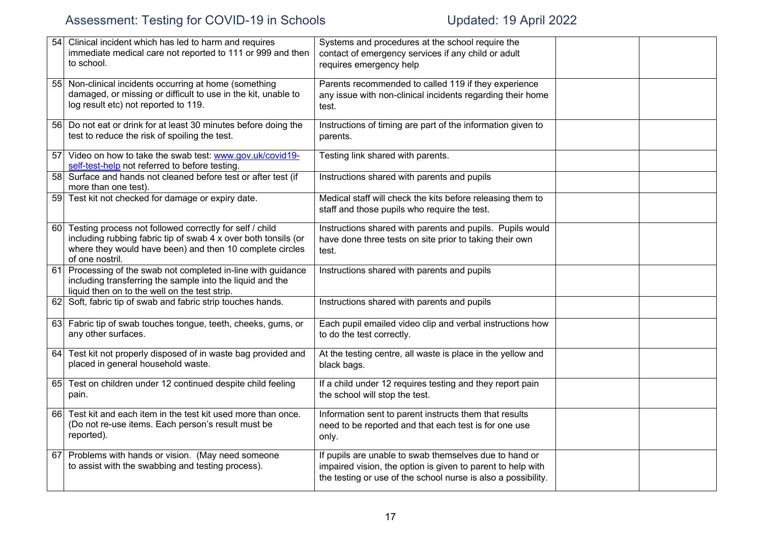| 54              | Clinical incident which has led to harm and requires<br>immediate medical care not reported to 111 or 999 and then<br>to school.                                                                         | Systems and procedures at the school require the<br>contact of emergency services if any child or adult<br>requires emergency help                                                     |  |
|-----------------|----------------------------------------------------------------------------------------------------------------------------------------------------------------------------------------------------------|----------------------------------------------------------------------------------------------------------------------------------------------------------------------------------------|--|
| 551             | Non-clinical incidents occurring at home (something<br>damaged, or missing or difficult to use in the kit, unable to<br>log result etc) not reported to 119.                                             | Parents recommended to called 119 if they experience<br>any issue with non-clinical incidents regarding their home<br>test.                                                            |  |
| 56 <sup> </sup> | Do not eat or drink for at least 30 minutes before doing the<br>test to reduce the risk of spoiling the test.                                                                                            | Instructions of timing are part of the information given to<br>parents.                                                                                                                |  |
| 57              | Video on how to take the swab test: www.gov.uk/covid19-<br>self-test-help not referred to before testing.                                                                                                | Testing link shared with parents.                                                                                                                                                      |  |
| 58              | Surface and hands not cleaned before test or after test (if<br>more than one test).                                                                                                                      | Instructions shared with parents and pupils                                                                                                                                            |  |
| 59              | Test kit not checked for damage or expiry date.                                                                                                                                                          | Medical staff will check the kits before releasing them to<br>staff and those pupils who require the test.                                                                             |  |
| 60              | Testing process not followed correctly for self / child<br>including rubbing fabric tip of swab 4 x over both tonsils (or<br>where they would have been) and then 10 complete circles<br>of one nostril. | Instructions shared with parents and pupils. Pupils would<br>have done three tests on site prior to taking their own<br>test.                                                          |  |
| 61              | Processing of the swab not completed in-line with guidance<br>including transferring the sample into the liquid and the<br>liquid then on to the well on the test strip.                                 | Instructions shared with parents and pupils                                                                                                                                            |  |
|                 | 62 Soft, fabric tip of swab and fabric strip touches hands.                                                                                                                                              | Instructions shared with parents and pupils                                                                                                                                            |  |
| 63              | Fabric tip of swab touches tongue, teeth, cheeks, gums, or<br>any other surfaces.                                                                                                                        | Each pupil emailed video clip and verbal instructions how<br>to do the test correctly.                                                                                                 |  |
| 64              | Test kit not properly disposed of in waste bag provided and<br>placed in general household waste.                                                                                                        | At the testing centre, all waste is place in the yellow and<br>black bags.                                                                                                             |  |
| 65              | Test on children under 12 continued despite child feeling<br>pain.                                                                                                                                       | If a child under 12 requires testing and they report pain<br>the school will stop the test.                                                                                            |  |
| 66 I            | Test kit and each item in the test kit used more than once.<br>(Do not re-use items. Each person's result must be<br>reported).                                                                          | Information sent to parent instructs them that results<br>need to be reported and that each test is for one use<br>only.                                                               |  |
| 67              | Problems with hands or vision. (May need someone<br>to assist with the swabbing and testing process).                                                                                                    | If pupils are unable to swab themselves due to hand or<br>impaired vision, the option is given to parent to help with<br>the testing or use of the school nurse is also a possibility. |  |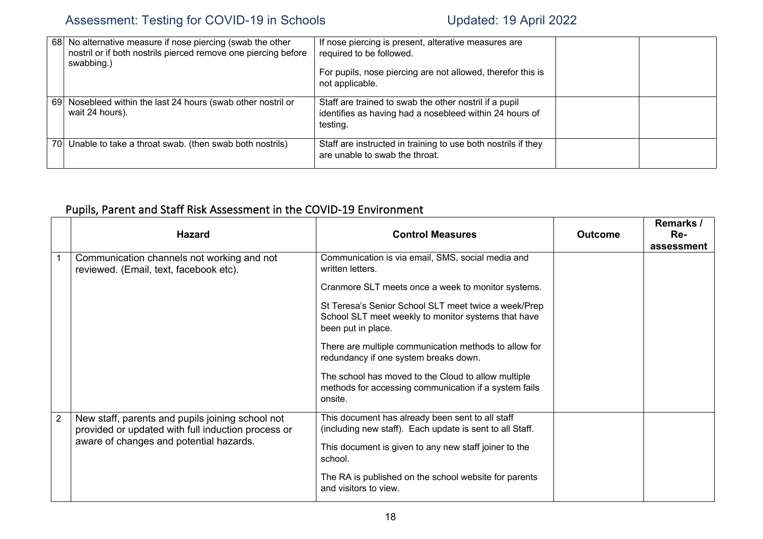| 681 | No alternative measure if nose piercing (swab the other<br>nostril or if both nostrils pierced remove one piercing before<br>swabbing.) | If nose piercing is present, alterative measures are<br>required to be followed.<br>For pupils, nose piercing are not allowed, therefor this is<br>not applicable. |  |
|-----|-----------------------------------------------------------------------------------------------------------------------------------------|--------------------------------------------------------------------------------------------------------------------------------------------------------------------|--|
| 691 | Nosebleed within the last 24 hours (swab other nostril or<br>wait 24 hours).                                                            | Staff are trained to swab the other nostril if a pupil<br>identifies as having had a nosebleed within 24 hours of<br>testing.                                      |  |
| 701 | Unable to take a throat swab. (then swab both nostrils)                                                                                 | Staff are instructed in training to use both nostrils if they<br>are unable to swab the throat.                                                                    |  |

# Pupils, Parent and Staff Risk Assessment in the COVID-19 Environment

|                | <b>Hazard</b>                                                                                          | <b>Control Measures</b>                                                                                                           | <b>Outcome</b> | Remarks /<br>Re-<br>assessment |
|----------------|--------------------------------------------------------------------------------------------------------|-----------------------------------------------------------------------------------------------------------------------------------|----------------|--------------------------------|
|                | Communication channels not working and not<br>reviewed. (Email, text, facebook etc).                   | Communication is via email, SMS, social media and<br>written letters.                                                             |                |                                |
|                |                                                                                                        | Cranmore SLT meets once a week to monitor systems.                                                                                |                |                                |
|                |                                                                                                        | St Teresa's Senior School SLT meet twice a week/Prep<br>School SLT meet weekly to monitor systems that have<br>been put in place. |                |                                |
|                |                                                                                                        | There are multiple communication methods to allow for<br>redundancy if one system breaks down.                                    |                |                                |
|                |                                                                                                        | The school has moved to the Cloud to allow multiple<br>methods for accessing communication if a system fails<br>onsite.           |                |                                |
| $\overline{2}$ | New staff, parents and pupils joining school not<br>provided or updated with full induction process or | This document has already been sent to all staff<br>(including new staff). Each update is sent to all Staff.                      |                |                                |
|                | aware of changes and potential hazards.                                                                | This document is given to any new staff joiner to the<br>school.                                                                  |                |                                |
|                |                                                                                                        | The RA is published on the school website for parents<br>and visitors to view.                                                    |                |                                |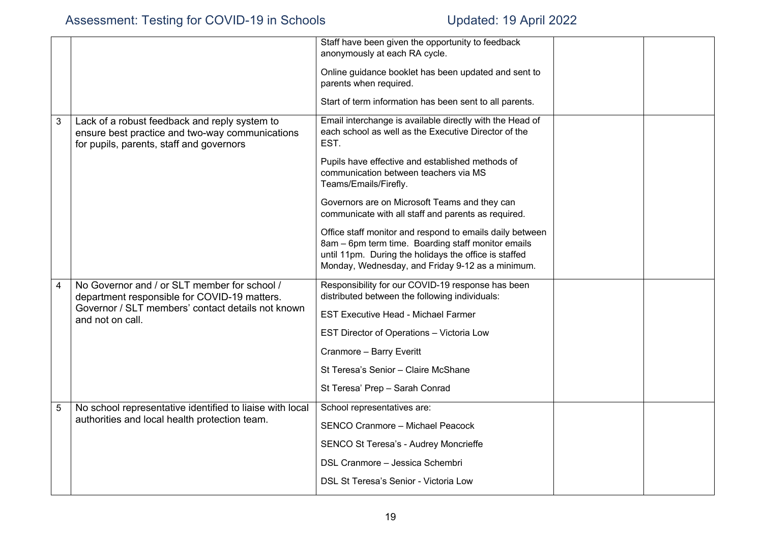|   |                                                                                                                                              | Staff have been given the opportunity to feedback<br>anonymously at each RA cycle.                                                                                                                                          |  |
|---|----------------------------------------------------------------------------------------------------------------------------------------------|-----------------------------------------------------------------------------------------------------------------------------------------------------------------------------------------------------------------------------|--|
|   |                                                                                                                                              | Online guidance booklet has been updated and sent to<br>parents when required.                                                                                                                                              |  |
|   |                                                                                                                                              | Start of term information has been sent to all parents.                                                                                                                                                                     |  |
| 3 | Lack of a robust feedback and reply system to<br>ensure best practice and two-way communications<br>for pupils, parents, staff and governors | Email interchange is available directly with the Head of<br>each school as well as the Executive Director of the<br>EST.                                                                                                    |  |
|   |                                                                                                                                              | Pupils have effective and established methods of<br>communication between teachers via MS<br>Teams/Emails/Firefly.                                                                                                          |  |
|   |                                                                                                                                              | Governors are on Microsoft Teams and they can<br>communicate with all staff and parents as required.                                                                                                                        |  |
|   |                                                                                                                                              | Office staff monitor and respond to emails daily between<br>8am - 6pm term time. Boarding staff monitor emails<br>until 11pm. During the holidays the office is staffed<br>Monday, Wednesday, and Friday 9-12 as a minimum. |  |
| 4 | No Governor and / or SLT member for school /<br>department responsible for COVID-19 matters.                                                 | Responsibility for our COVID-19 response has been<br>distributed between the following individuals:                                                                                                                         |  |
|   | Governor / SLT members' contact details not known<br>and not on call.                                                                        | <b>EST Executive Head - Michael Farmer</b>                                                                                                                                                                                  |  |
|   |                                                                                                                                              | EST Director of Operations - Victoria Low                                                                                                                                                                                   |  |
|   |                                                                                                                                              | Cranmore - Barry Everitt                                                                                                                                                                                                    |  |
|   |                                                                                                                                              | St Teresa's Senior - Claire McShane                                                                                                                                                                                         |  |
|   |                                                                                                                                              | St Teresa' Prep - Sarah Conrad                                                                                                                                                                                              |  |
| 5 | No school representative identified to liaise with local                                                                                     | School representatives are:                                                                                                                                                                                                 |  |
|   | authorities and local health protection team.                                                                                                | SENCO Cranmore - Michael Peacock                                                                                                                                                                                            |  |
|   |                                                                                                                                              | SENCO St Teresa's - Audrey Moncrieffe                                                                                                                                                                                       |  |
|   |                                                                                                                                              | DSL Cranmore - Jessica Schembri                                                                                                                                                                                             |  |
|   |                                                                                                                                              | DSL St Teresa's Senior - Victoria Low                                                                                                                                                                                       |  |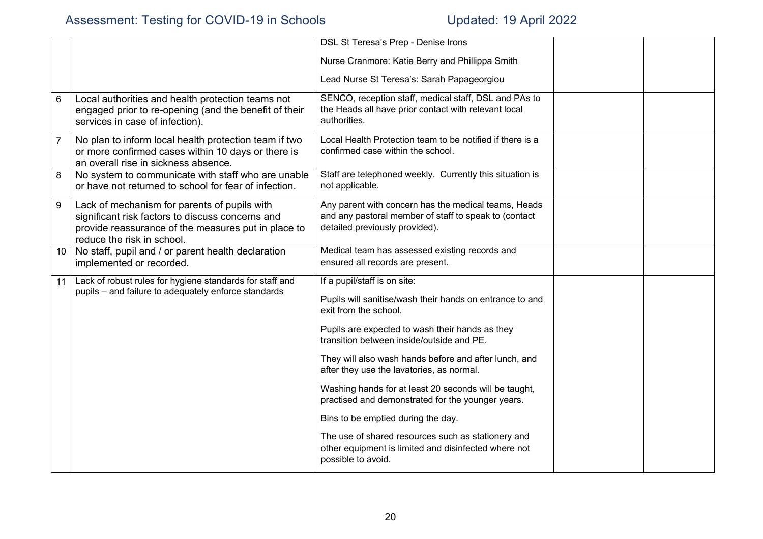|                |                                                                                                                                                                                       | <b>DSL St Teresa's Prep - Denise Irons</b>                                                                                                      |  |
|----------------|---------------------------------------------------------------------------------------------------------------------------------------------------------------------------------------|-------------------------------------------------------------------------------------------------------------------------------------------------|--|
|                |                                                                                                                                                                                       | Nurse Cranmore: Katie Berry and Phillippa Smith                                                                                                 |  |
|                |                                                                                                                                                                                       | Lead Nurse St Teresa's: Sarah Papageorgiou                                                                                                      |  |
| $6\phantom{1}$ | Local authorities and health protection teams not<br>engaged prior to re-opening (and the benefit of their<br>services in case of infection).                                         | SENCO, reception staff, medical staff, DSL and PAs to<br>the Heads all have prior contact with relevant local<br>authorities.                   |  |
| $\overline{7}$ | No plan to inform local health protection team if two<br>or more confirmed cases within 10 days or there is<br>an overall rise in sickness absence.                                   | Local Health Protection team to be notified if there is a<br>confirmed case within the school.                                                  |  |
| 8              | No system to communicate with staff who are unable<br>or have not returned to school for fear of infection.                                                                           | Staff are telephoned weekly. Currently this situation is<br>not applicable.                                                                     |  |
| 9              | Lack of mechanism for parents of pupils with<br>significant risk factors to discuss concerns and<br>provide reassurance of the measures put in place to<br>reduce the risk in school. | Any parent with concern has the medical teams, Heads<br>and any pastoral member of staff to speak to (contact<br>detailed previously provided). |  |
| 10             | No staff, pupil and / or parent health declaration<br>implemented or recorded.                                                                                                        | Medical team has assessed existing records and<br>ensured all records are present.                                                              |  |
| 11             | Lack of robust rules for hygiene standards for staff and<br>pupils - and failure to adequately enforce standards                                                                      | If a pupil/staff is on site:<br>Pupils will sanitise/wash their hands on entrance to and<br>exit from the school.                               |  |
|                |                                                                                                                                                                                       | Pupils are expected to wash their hands as they<br>transition between inside/outside and PE.                                                    |  |
|                |                                                                                                                                                                                       | They will also wash hands before and after lunch, and<br>after they use the lavatories, as normal.                                              |  |
|                |                                                                                                                                                                                       | Washing hands for at least 20 seconds will be taught,<br>practised and demonstrated for the younger years.                                      |  |
|                |                                                                                                                                                                                       | Bins to be emptied during the day.                                                                                                              |  |
|                |                                                                                                                                                                                       | The use of shared resources such as stationery and<br>other equipment is limited and disinfected where not<br>possible to avoid.                |  |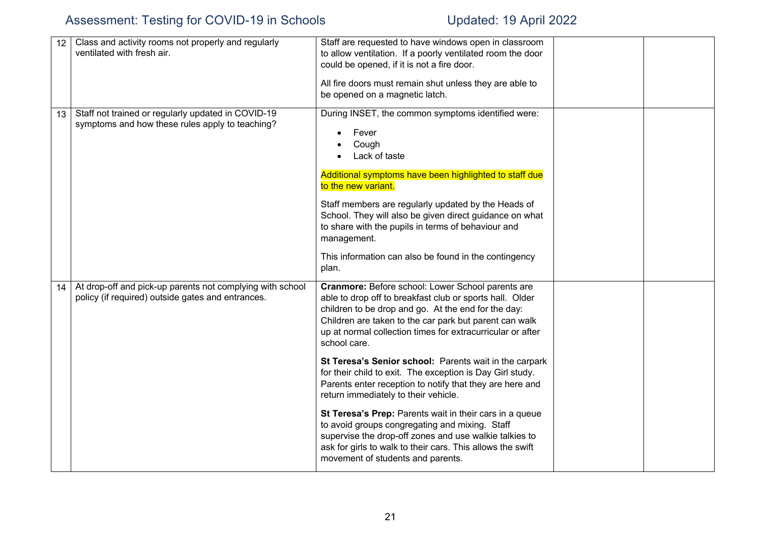| 12 | Class and activity rooms not properly and regularly<br>ventilated with fresh air.                              | Staff are requested to have windows open in classroom<br>to allow ventilation. If a poorly ventilated room the door<br>could be opened, if it is not a fire door.<br>All fire doors must remain shut unless they are able to<br>be opened on a magnetic latch.                                                                                                                                                                  |  |
|----|----------------------------------------------------------------------------------------------------------------|---------------------------------------------------------------------------------------------------------------------------------------------------------------------------------------------------------------------------------------------------------------------------------------------------------------------------------------------------------------------------------------------------------------------------------|--|
| 13 | Staff not trained or regularly updated in COVID-19<br>symptoms and how these rules apply to teaching?          | During INSET, the common symptoms identified were:<br>Fever<br>Cough<br>Lack of taste<br>Additional symptoms have been highlighted to staff due<br>to the new variant.<br>Staff members are regularly updated by the Heads of<br>School. They will also be given direct guidance on what<br>to share with the pupils in terms of behaviour and<br>management.<br>This information can also be found in the contingency<br>plan. |  |
| 14 | At drop-off and pick-up parents not complying with school<br>policy (if required) outside gates and entrances. | Cranmore: Before school: Lower School parents are<br>able to drop off to breakfast club or sports hall. Older<br>children to be drop and go. At the end for the day:<br>Children are taken to the car park but parent can walk<br>up at normal collection times for extracurricular or after<br>school care.                                                                                                                    |  |
|    |                                                                                                                | St Teresa's Senior school: Parents wait in the carpark<br>for their child to exit. The exception is Day Girl study.<br>Parents enter reception to notify that they are here and<br>return immediately to their vehicle.                                                                                                                                                                                                         |  |
|    |                                                                                                                | St Teresa's Prep: Parents wait in their cars in a queue<br>to avoid groups congregating and mixing. Staff<br>supervise the drop-off zones and use walkie talkies to<br>ask for girls to walk to their cars. This allows the swift<br>movement of students and parents.                                                                                                                                                          |  |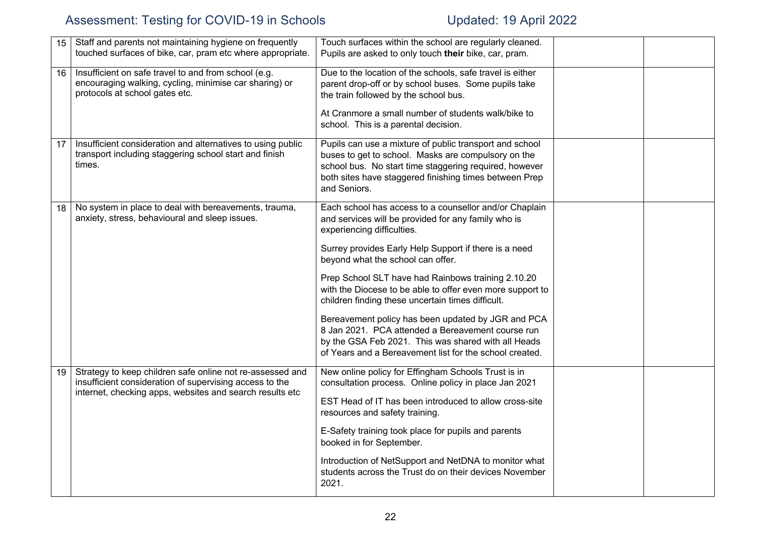| 15 | Staff and parents not maintaining hygiene on frequently<br>touched surfaces of bike, car, pram etc where appropriate.                                                            | Touch surfaces within the school are regularly cleaned.<br>Pupils are asked to only touch their bike, car, pram.                                                                                                                                   |  |
|----|----------------------------------------------------------------------------------------------------------------------------------------------------------------------------------|----------------------------------------------------------------------------------------------------------------------------------------------------------------------------------------------------------------------------------------------------|--|
| 16 | Insufficient on safe travel to and from school (e.g.<br>encouraging walking, cycling, minimise car sharing) or<br>protocols at school gates etc.                                 | Due to the location of the schools, safe travel is either<br>parent drop-off or by school buses. Some pupils take<br>the train followed by the school bus.                                                                                         |  |
|    |                                                                                                                                                                                  | At Cranmore a small number of students walk/bike to<br>school. This is a parental decision.                                                                                                                                                        |  |
| 17 | Insufficient consideration and alternatives to using public<br>transport including staggering school start and finish<br>times.                                                  | Pupils can use a mixture of public transport and school<br>buses to get to school. Masks are compulsory on the<br>school bus. No start time staggering required, however<br>both sites have staggered finishing times between Prep<br>and Seniors. |  |
| 18 | No system in place to deal with bereavements, trauma,<br>anxiety, stress, behavioural and sleep issues.                                                                          | Each school has access to a counsellor and/or Chaplain<br>and services will be provided for any family who is<br>experiencing difficulties.                                                                                                        |  |
|    |                                                                                                                                                                                  | Surrey provides Early Help Support if there is a need<br>beyond what the school can offer.                                                                                                                                                         |  |
|    |                                                                                                                                                                                  | Prep School SLT have had Rainbows training 2.10.20<br>with the Diocese to be able to offer even more support to<br>children finding these uncertain times difficult.                                                                               |  |
|    |                                                                                                                                                                                  | Bereavement policy has been updated by JGR and PCA<br>8 Jan 2021. PCA attended a Bereavement course run<br>by the GSA Feb 2021. This was shared with all Heads<br>of Years and a Bereavement list for the school created.                          |  |
| 19 | Strategy to keep children safe online not re-assessed and<br>insufficient consideration of supervising access to the<br>internet, checking apps, websites and search results etc | New online policy for Effingham Schools Trust is in<br>consultation process. Online policy in place Jan 2021                                                                                                                                       |  |
|    |                                                                                                                                                                                  | EST Head of IT has been introduced to allow cross-site<br>resources and safety training.                                                                                                                                                           |  |
|    |                                                                                                                                                                                  | E-Safety training took place for pupils and parents<br>booked in for September.                                                                                                                                                                    |  |
|    |                                                                                                                                                                                  | Introduction of NetSupport and NetDNA to monitor what<br>students across the Trust do on their devices November<br>2021.                                                                                                                           |  |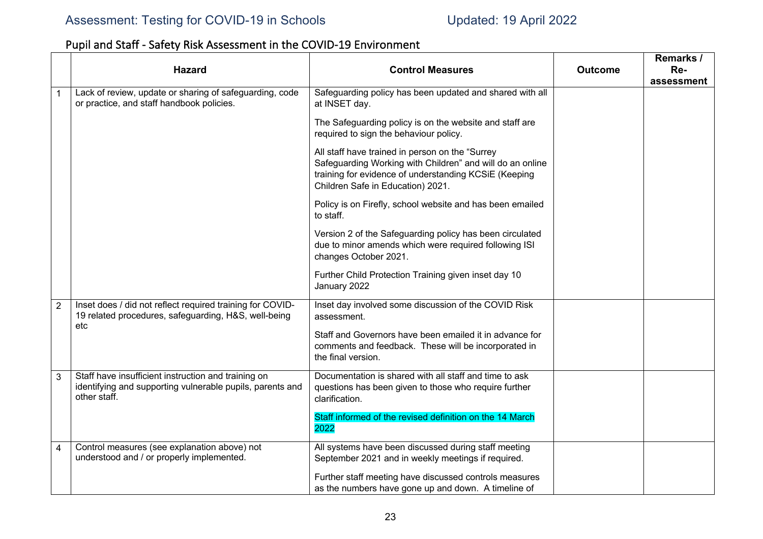# Pupil and Staff - Safety Risk Assessment in the COVID-19 Environment

|                | <b>Hazard</b>                                                                                                                    | <b>Control Measures</b>                                                                                                                                                                                    | <b>Outcome</b> | Remarks /<br>Re-<br>assessment |
|----------------|----------------------------------------------------------------------------------------------------------------------------------|------------------------------------------------------------------------------------------------------------------------------------------------------------------------------------------------------------|----------------|--------------------------------|
| 1              | Lack of review, update or sharing of safeguarding, code<br>or practice, and staff handbook policies.                             | Safeguarding policy has been updated and shared with all<br>at INSET day.                                                                                                                                  |                |                                |
|                |                                                                                                                                  | The Safeguarding policy is on the website and staff are<br>required to sign the behaviour policy.                                                                                                          |                |                                |
|                |                                                                                                                                  | All staff have trained in person on the "Surrey<br>Safeguarding Working with Children" and will do an online<br>training for evidence of understanding KCSiE (Keeping<br>Children Safe in Education) 2021. |                |                                |
|                |                                                                                                                                  | Policy is on Firefly, school website and has been emailed<br>to staff.                                                                                                                                     |                |                                |
|                |                                                                                                                                  | Version 2 of the Safeguarding policy has been circulated<br>due to minor amends which were required following ISI<br>changes October 2021.                                                                 |                |                                |
|                |                                                                                                                                  | Further Child Protection Training given inset day 10<br>January 2022                                                                                                                                       |                |                                |
| $\overline{2}$ | Inset does / did not reflect required training for COVID-<br>19 related procedures, safeguarding, H&S, well-being<br>etc         | Inset day involved some discussion of the COVID Risk<br>assessment.                                                                                                                                        |                |                                |
|                |                                                                                                                                  | Staff and Governors have been emailed it in advance for<br>comments and feedback. These will be incorporated in<br>the final version.                                                                      |                |                                |
| 3              | Staff have insufficient instruction and training on<br>identifying and supporting vulnerable pupils, parents and<br>other staff. | Documentation is shared with all staff and time to ask<br>questions has been given to those who require further<br>clarification.                                                                          |                |                                |
|                |                                                                                                                                  | Staff informed of the revised definition on the 14 March<br>2022                                                                                                                                           |                |                                |
| 4              | Control measures (see explanation above) not<br>understood and / or properly implemented.                                        | All systems have been discussed during staff meeting<br>September 2021 and in weekly meetings if required.                                                                                                 |                |                                |
|                |                                                                                                                                  | Further staff meeting have discussed controls measures<br>as the numbers have gone up and down. A timeline of                                                                                              |                |                                |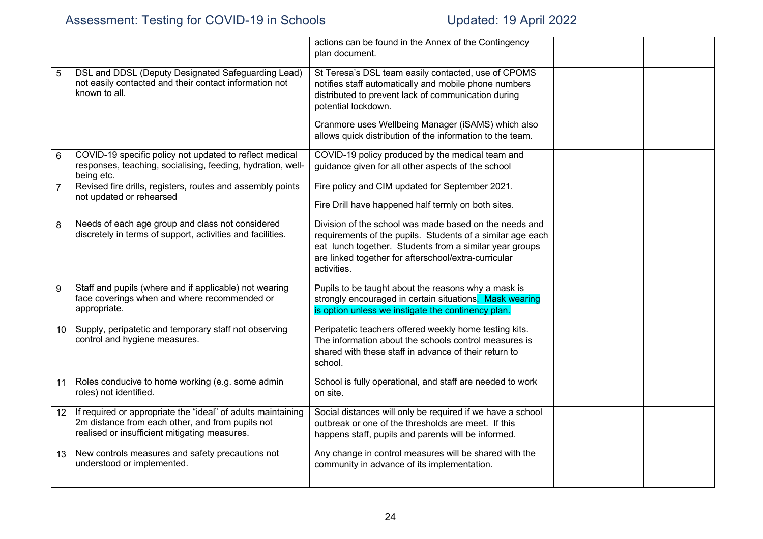|                |                                                                                                                                                                   | actions can be found in the Annex of the Contingency<br>plan document.                                                                                                                                                                                 |  |
|----------------|-------------------------------------------------------------------------------------------------------------------------------------------------------------------|--------------------------------------------------------------------------------------------------------------------------------------------------------------------------------------------------------------------------------------------------------|--|
| 5              | DSL and DDSL (Deputy Designated Safeguarding Lead)<br>not easily contacted and their contact information not<br>known to all.                                     | St Teresa's DSL team easily contacted, use of CPOMS<br>notifies staff automatically and mobile phone numbers<br>distributed to prevent lack of communication during<br>potential lockdown.                                                             |  |
|                |                                                                                                                                                                   | Cranmore uses Wellbeing Manager (iSAMS) which also<br>allows quick distribution of the information to the team.                                                                                                                                        |  |
| 6              | COVID-19 specific policy not updated to reflect medical<br>responses, teaching, socialising, feeding, hydration, well-<br>being etc.                              | COVID-19 policy produced by the medical team and<br>guidance given for all other aspects of the school                                                                                                                                                 |  |
| $\overline{7}$ | Revised fire drills, registers, routes and assembly points<br>not updated or rehearsed                                                                            | Fire policy and CIM updated for September 2021.<br>Fire Drill have happened half termly on both sites.                                                                                                                                                 |  |
| 8              | Needs of each age group and class not considered<br>discretely in terms of support, activities and facilities.                                                    | Division of the school was made based on the needs and<br>requirements of the pupils. Students of a similar age each<br>eat lunch together. Students from a similar year groups<br>are linked together for afterschool/extra-curricular<br>activities. |  |
| 9              | Staff and pupils (where and if applicable) not wearing<br>face coverings when and where recommended or<br>appropriate.                                            | Pupils to be taught about the reasons why a mask is<br>strongly encouraged in certain situations. Mask wearing<br>is option unless we instigate the continency plan.                                                                                   |  |
| 10             | Supply, peripatetic and temporary staff not observing<br>control and hygiene measures.                                                                            | Peripatetic teachers offered weekly home testing kits.<br>The information about the schools control measures is<br>shared with these staff in advance of their return to<br>school.                                                                    |  |
| 11             | Roles conducive to home working (e.g. some admin<br>roles) not identified.                                                                                        | School is fully operational, and staff are needed to work<br>on site.                                                                                                                                                                                  |  |
| 12             | If required or appropriate the "ideal" of adults maintaining<br>2m distance from each other, and from pupils not<br>realised or insufficient mitigating measures. | Social distances will only be required if we have a school<br>outbreak or one of the thresholds are meet. If this<br>happens staff, pupils and parents will be informed.                                                                               |  |
| 13             | New controls measures and safety precautions not<br>understood or implemented.                                                                                    | Any change in control measures will be shared with the<br>community in advance of its implementation.                                                                                                                                                  |  |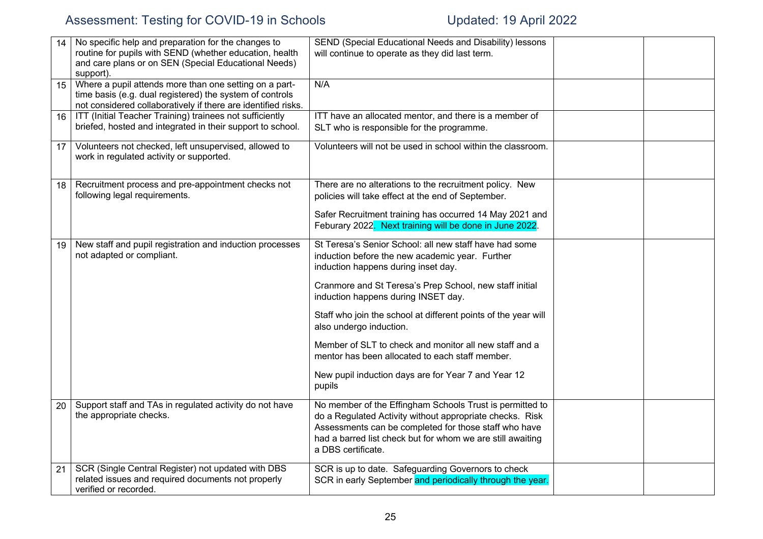|    | No specific help and preparation for the changes to<br>routine for pupils with SEND (whether education, health<br>and care plans or on SEN (Special Educational Needs)<br>support). | SEND (Special Educational Needs and Disability) lessons<br>will continue to operate as they did last term.                                                                                                                                                        |  |
|----|-------------------------------------------------------------------------------------------------------------------------------------------------------------------------------------|-------------------------------------------------------------------------------------------------------------------------------------------------------------------------------------------------------------------------------------------------------------------|--|
| 15 | Where a pupil attends more than one setting on a part-<br>time basis (e.g. dual registered) the system of controls<br>not considered collaboratively if there are identified risks. | N/A                                                                                                                                                                                                                                                               |  |
| 16 | ITT (Initial Teacher Training) trainees not sufficiently<br>briefed, hosted and integrated in their support to school.                                                              | ITT have an allocated mentor, and there is a member of<br>SLT who is responsible for the programme.                                                                                                                                                               |  |
| 17 | Volunteers not checked, left unsupervised, allowed to<br>work in regulated activity or supported.                                                                                   | Volunteers will not be used in school within the classroom.                                                                                                                                                                                                       |  |
| 18 | Recruitment process and pre-appointment checks not<br>following legal requirements.                                                                                                 | There are no alterations to the recruitment policy. New<br>policies will take effect at the end of September.                                                                                                                                                     |  |
|    |                                                                                                                                                                                     | Safer Recruitment training has occurred 14 May 2021 and<br>Feburary 2022. Next training will be done in June 2022.                                                                                                                                                |  |
| 19 | New staff and pupil registration and induction processes<br>not adapted or compliant.                                                                                               | St Teresa's Senior School: all new staff have had some<br>induction before the new academic year. Further<br>induction happens during inset day.                                                                                                                  |  |
|    |                                                                                                                                                                                     | Cranmore and St Teresa's Prep School, new staff initial<br>induction happens during INSET day.                                                                                                                                                                    |  |
|    |                                                                                                                                                                                     | Staff who join the school at different points of the year will<br>also undergo induction.                                                                                                                                                                         |  |
|    |                                                                                                                                                                                     | Member of SLT to check and monitor all new staff and a<br>mentor has been allocated to each staff member.                                                                                                                                                         |  |
|    |                                                                                                                                                                                     | New pupil induction days are for Year 7 and Year 12<br>pupils                                                                                                                                                                                                     |  |
| 20 | Support staff and TAs in regulated activity do not have<br>the appropriate checks.                                                                                                  | No member of the Effingham Schools Trust is permitted to<br>do a Regulated Activity without appropriate checks. Risk<br>Assessments can be completed for those staff who have<br>had a barred list check but for whom we are still awaiting<br>a DBS certificate. |  |
| 21 | SCR (Single Central Register) not updated with DBS<br>related issues and required documents not properly<br>verified or recorded.                                                   | SCR is up to date. Safeguarding Governors to check<br>SCR in early September and periodically through the year.                                                                                                                                                   |  |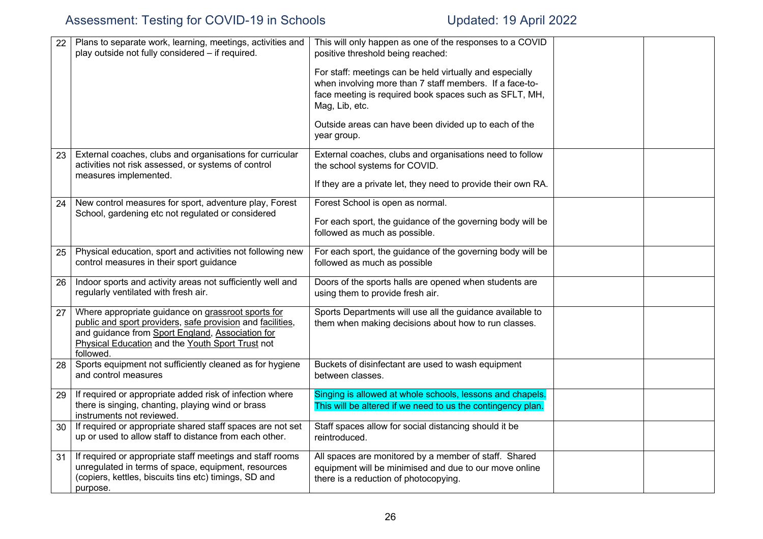| 22              | Plans to separate work, learning, meetings, activities and<br>play outside not fully considered - if required.                                                                                                                        | This will only happen as one of the responses to a COVID<br>positive threshold being reached:<br>For staff: meetings can be held virtually and especially<br>when involving more than 7 staff members. If a face-to-<br>face meeting is required book spaces such as SFLT, MH,<br>Mag, Lib, etc.<br>Outside areas can have been divided up to each of the<br>year group. |  |
|-----------------|---------------------------------------------------------------------------------------------------------------------------------------------------------------------------------------------------------------------------------------|--------------------------------------------------------------------------------------------------------------------------------------------------------------------------------------------------------------------------------------------------------------------------------------------------------------------------------------------------------------------------|--|
| 23              | External coaches, clubs and organisations for curricular<br>activities not risk assessed, or systems of control<br>measures implemented.                                                                                              | External coaches, clubs and organisations need to follow<br>the school systems for COVID.<br>If they are a private let, they need to provide their own RA.                                                                                                                                                                                                               |  |
| 24              | New control measures for sport, adventure play, Forest<br>School, gardening etc not regulated or considered                                                                                                                           | Forest School is open as normal.<br>For each sport, the guidance of the governing body will be<br>followed as much as possible.                                                                                                                                                                                                                                          |  |
| 25              | Physical education, sport and activities not following new<br>control measures in their sport guidance                                                                                                                                | For each sport, the guidance of the governing body will be<br>followed as much as possible                                                                                                                                                                                                                                                                               |  |
| 26              | Indoor sports and activity areas not sufficiently well and<br>regularly ventilated with fresh air.                                                                                                                                    | Doors of the sports halls are opened when students are<br>using them to provide fresh air.                                                                                                                                                                                                                                                                               |  |
| 27              | Where appropriate guidance on grassroot sports for<br>public and sport providers, safe provision and facilities,<br>and guidance from Sport England, Association for<br>Physical Education and the Youth Sport Trust not<br>followed. | Sports Departments will use all the guidance available to<br>them when making decisions about how to run classes.                                                                                                                                                                                                                                                        |  |
| 28              | Sports equipment not sufficiently cleaned as for hygiene<br>and control measures                                                                                                                                                      | Buckets of disinfectant are used to wash equipment<br>between classes.                                                                                                                                                                                                                                                                                                   |  |
| 29              | If required or appropriate added risk of infection where<br>there is singing, chanting, playing wind or brass<br>instruments not reviewed.                                                                                            | Singing is allowed at whole schools, lessons and chapels.<br>This will be altered if we need to us the contingency plan.                                                                                                                                                                                                                                                 |  |
| 30 <sup>1</sup> | If required or appropriate shared staff spaces are not set<br>up or used to allow staff to distance from each other.                                                                                                                  | Staff spaces allow for social distancing should it be<br>reintroduced.                                                                                                                                                                                                                                                                                                   |  |
| 31              | If required or appropriate staff meetings and staff rooms<br>unregulated in terms of space, equipment, resources<br>(copiers, kettles, biscuits tins etc) timings, SD and<br>purpose.                                                 | All spaces are monitored by a member of staff. Shared<br>equipment will be minimised and due to our move online<br>there is a reduction of photocopying.                                                                                                                                                                                                                 |  |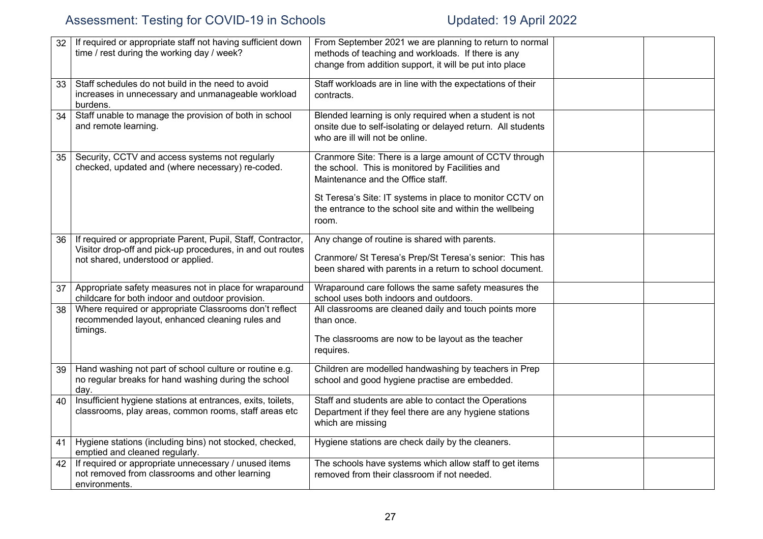| 32 | If required or appropriate staff not having sufficient down<br>time / rest during the working day / week?               | From September 2021 we are planning to return to normal<br>methods of teaching and workloads. If there is any<br>change from addition support, it will be put into place |  |
|----|-------------------------------------------------------------------------------------------------------------------------|--------------------------------------------------------------------------------------------------------------------------------------------------------------------------|--|
| 33 | Staff schedules do not build in the need to avoid<br>increases in unnecessary and unmanageable workload<br>burdens.     | Staff workloads are in line with the expectations of their<br>contracts.                                                                                                 |  |
| 34 | Staff unable to manage the provision of both in school<br>and remote learning.                                          | Blended learning is only required when a student is not<br>onsite due to self-isolating or delayed return. All students<br>who are ill will not be online.               |  |
| 35 | Security, CCTV and access systems not regularly<br>checked, updated and (where necessary) re-coded.                     | Cranmore Site: There is a large amount of CCTV through<br>the school. This is monitored by Facilities and<br>Maintenance and the Office staff.                           |  |
|    |                                                                                                                         | St Teresa's Site: IT systems in place to monitor CCTV on<br>the entrance to the school site and within the wellbeing<br>room.                                            |  |
| 36 | If required or appropriate Parent, Pupil, Staff, Contractor,                                                            | Any change of routine is shared with parents.                                                                                                                            |  |
|    | Visitor drop-off and pick-up procedures, in and out routes<br>not shared, understood or applied.                        | Cranmore/ St Teresa's Prep/St Teresa's senior: This has                                                                                                                  |  |
|    |                                                                                                                         | been shared with parents in a return to school document.                                                                                                                 |  |
| 37 | Appropriate safety measures not in place for wraparound<br>childcare for both indoor and outdoor provision.             | Wraparound care follows the same safety measures the<br>school uses both indoors and outdoors.                                                                           |  |
| 38 | Where required or appropriate Classrooms don't reflect<br>recommended layout, enhanced cleaning rules and               | All classrooms are cleaned daily and touch points more<br>than once.                                                                                                     |  |
|    | timings.                                                                                                                | The classrooms are now to be layout as the teacher<br>requires.                                                                                                          |  |
| 39 | Hand washing not part of school culture or routine e.g.<br>no regular breaks for hand washing during the school<br>day. | Children are modelled handwashing by teachers in Prep<br>school and good hygiene practise are embedded.                                                                  |  |
| 40 | Insufficient hygiene stations at entrances, exits, toilets,<br>classrooms, play areas, common rooms, staff areas etc    | Staff and students are able to contact the Operations<br>Department if they feel there are any hygiene stations<br>which are missing                                     |  |
| 41 | Hygiene stations (including bins) not stocked, checked,<br>emptied and cleaned regularly.                               | Hygiene stations are check daily by the cleaners.                                                                                                                        |  |
| 42 | If required or appropriate unnecessary / unused items<br>not removed from classrooms and other learning                 | The schools have systems which allow staff to get items<br>removed from their classroom if not needed.                                                                   |  |
|    | environments.                                                                                                           |                                                                                                                                                                          |  |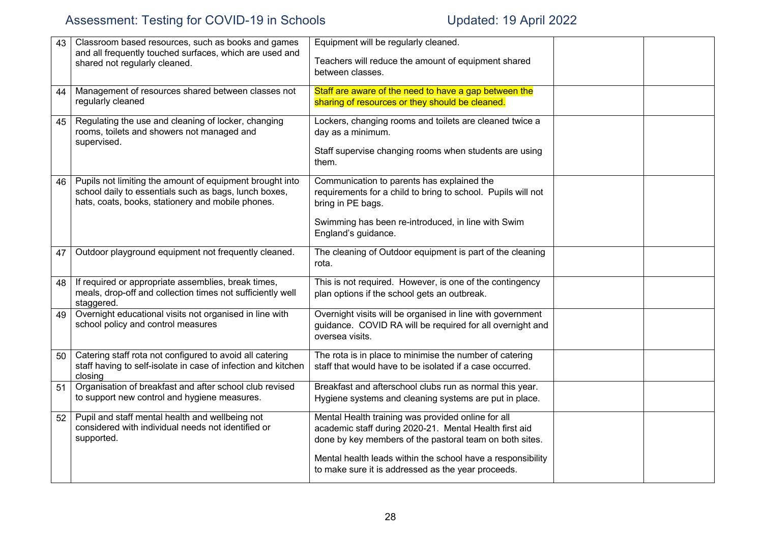| 43 | Classroom based resources, such as books and games<br>and all frequently touched surfaces, which are used and | Equipment will be regularly cleaned.                         |  |
|----|---------------------------------------------------------------------------------------------------------------|--------------------------------------------------------------|--|
|    |                                                                                                               | Teachers will reduce the amount of equipment shared          |  |
|    | shared not regularly cleaned.                                                                                 | between classes.                                             |  |
|    |                                                                                                               |                                                              |  |
| 44 | Management of resources shared between classes not                                                            | Staff are aware of the need to have a gap between the        |  |
|    | regularly cleaned                                                                                             | sharing of resources or they should be cleaned.              |  |
|    |                                                                                                               |                                                              |  |
| 45 | Regulating the use and cleaning of locker, changing                                                           | Lockers, changing rooms and toilets are cleaned twice a      |  |
|    | rooms, toilets and showers not managed and                                                                    | day as a minimum.                                            |  |
|    | supervised.                                                                                                   | Staff supervise changing rooms when students are using       |  |
|    |                                                                                                               | them.                                                        |  |
|    |                                                                                                               |                                                              |  |
| 46 | Pupils not limiting the amount of equipment brought into                                                      | Communication to parents has explained the                   |  |
|    | school daily to essentials such as bags, lunch boxes,                                                         | requirements for a child to bring to school. Pupils will not |  |
|    | hats, coats, books, stationery and mobile phones.                                                             | bring in PE bags.                                            |  |
|    |                                                                                                               |                                                              |  |
|    |                                                                                                               | Swimming has been re-introduced, in line with Swim           |  |
|    |                                                                                                               | England's guidance.                                          |  |
|    |                                                                                                               |                                                              |  |
| 47 | Outdoor playground equipment not frequently cleaned.                                                          | The cleaning of Outdoor equipment is part of the cleaning    |  |
|    |                                                                                                               | rota.                                                        |  |
| 48 | If required or appropriate assemblies, break times,                                                           | This is not required. However, is one of the contingency     |  |
|    | meals, drop-off and collection times not sufficiently well                                                    | plan options if the school gets an outbreak.                 |  |
|    | staggered.                                                                                                    |                                                              |  |
| 49 | Overnight educational visits not organised in line with                                                       | Overnight visits will be organised in line with government   |  |
|    | school policy and control measures                                                                            | guidance. COVID RA will be required for all overnight and    |  |
|    |                                                                                                               | oversea visits.                                              |  |
|    |                                                                                                               |                                                              |  |
| 50 | Catering staff rota not configured to avoid all catering                                                      | The rota is in place to minimise the number of catering      |  |
|    | staff having to self-isolate in case of infection and kitchen                                                 | staff that would have to be isolated if a case occurred.     |  |
|    | closing                                                                                                       |                                                              |  |
| 51 | Organisation of breakfast and after school club revised                                                       | Breakfast and afterschool clubs run as normal this year.     |  |
|    | to support new control and hygiene measures.                                                                  | Hygiene systems and cleaning systems are put in place.       |  |
| 52 | Pupil and staff mental health and wellbeing not                                                               | Mental Health training was provided online for all           |  |
|    | considered with individual needs not identified or                                                            | academic staff during 2020-21. Mental Health first aid       |  |
|    | supported.                                                                                                    | done by key members of the pastoral team on both sites.      |  |
|    |                                                                                                               |                                                              |  |
|    |                                                                                                               | Mental health leads within the school have a responsibility  |  |
|    |                                                                                                               | to make sure it is addressed as the year proceeds.           |  |
|    |                                                                                                               |                                                              |  |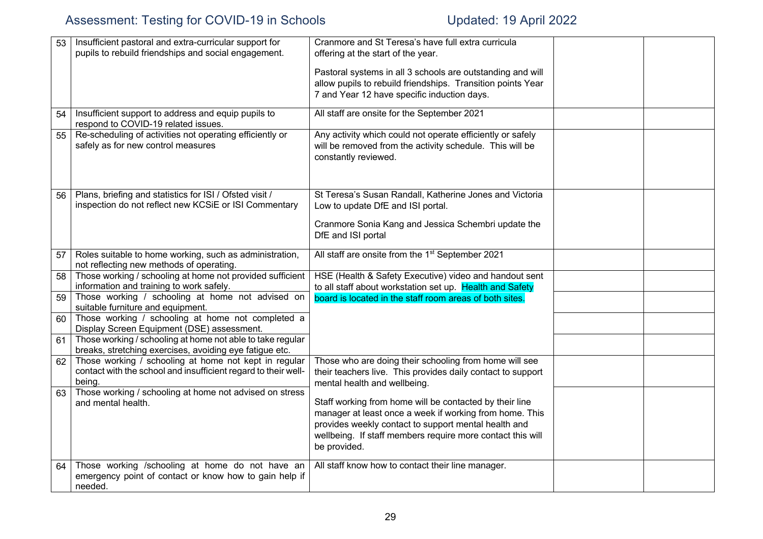| 53 | Insufficient pastoral and extra-curricular support for<br>pupils to rebuild friendships and social engagement.                    | Cranmore and St Teresa's have full extra curricula<br>offering at the start of the year.                                                                                                                                                                 |  |
|----|-----------------------------------------------------------------------------------------------------------------------------------|----------------------------------------------------------------------------------------------------------------------------------------------------------------------------------------------------------------------------------------------------------|--|
|    |                                                                                                                                   | Pastoral systems in all 3 schools are outstanding and will<br>allow pupils to rebuild friendships. Transition points Year<br>7 and Year 12 have specific induction days.                                                                                 |  |
| 54 | Insufficient support to address and equip pupils to<br>respond to COVID-19 related issues.                                        | All staff are onsite for the September 2021                                                                                                                                                                                                              |  |
| 55 | Re-scheduling of activities not operating efficiently or<br>safely as for new control measures                                    | Any activity which could not operate efficiently or safely<br>will be removed from the activity schedule. This will be<br>constantly reviewed.                                                                                                           |  |
| 56 | Plans, briefing and statistics for ISI / Ofsted visit /<br>inspection do not reflect new KCSiE or ISI Commentary                  | St Teresa's Susan Randall, Katherine Jones and Victoria<br>Low to update DfE and ISI portal.                                                                                                                                                             |  |
|    |                                                                                                                                   | Cranmore Sonia Kang and Jessica Schembri update the<br>DfE and ISI portal                                                                                                                                                                                |  |
| 57 | Roles suitable to home working, such as administration,<br>not reflecting new methods of operating.                               | All staff are onsite from the 1 <sup>st</sup> September 2021                                                                                                                                                                                             |  |
| 58 | Those working / schooling at home not provided sufficient<br>information and training to work safely.                             | HSE (Health & Safety Executive) video and handout sent<br>to all staff about workstation set up. Health and Safety                                                                                                                                       |  |
| 59 | Those working / schooling at home not advised on<br>suitable furniture and equipment.                                             | board is located in the staff room areas of both sites.                                                                                                                                                                                                  |  |
| 60 | Those working / schooling at home not completed a<br>Display Screen Equipment (DSE) assessment.                                   |                                                                                                                                                                                                                                                          |  |
| 61 | Those working / schooling at home not able to take regular<br>breaks, stretching exercises, avoiding eye fatigue etc.             |                                                                                                                                                                                                                                                          |  |
| 62 | Those working / schooling at home not kept in regular<br>contact with the school and insufficient regard to their well-<br>being. | Those who are doing their schooling from home will see<br>their teachers live. This provides daily contact to support<br>mental health and wellbeing.                                                                                                    |  |
|    | 63 Those working / schooling at home not advised on stress<br>and mental health.                                                  | Staff working from home will be contacted by their line<br>manager at least once a week if working from home. This<br>provides weekly contact to support mental health and<br>wellbeing. If staff members require more contact this will<br>be provided. |  |
| 64 | Those working /schooling at home do not have an<br>emergency point of contact or know how to gain help if<br>needed.              | All staff know how to contact their line manager.                                                                                                                                                                                                        |  |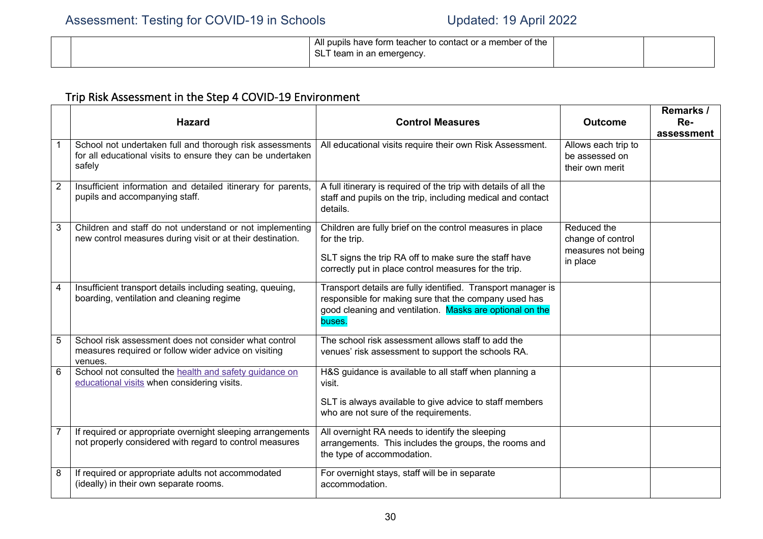|  | All pupils have form teacher to contact or a member of the |  |
|--|------------------------------------------------------------|--|
|  | SL <sup>7</sup><br>team in an emergency.                   |  |

# Trip Risk Assessment in the Step 4 COVID-19 Environment

|   | <b>Hazard</b>                                                                                                                     | <b>Control Measures</b>                                                                                                                                                                      | <b>Outcome</b>                                                     | Remarks /<br>Re- |
|---|-----------------------------------------------------------------------------------------------------------------------------------|----------------------------------------------------------------------------------------------------------------------------------------------------------------------------------------------|--------------------------------------------------------------------|------------------|
|   |                                                                                                                                   |                                                                                                                                                                                              |                                                                    | assessment       |
|   | School not undertaken full and thorough risk assessments<br>for all educational visits to ensure they can be undertaken<br>safely | All educational visits require their own Risk Assessment.                                                                                                                                    | Allows each trip to<br>be assessed on<br>their own merit           |                  |
| 2 | Insufficient information and detailed itinerary for parents,<br>pupils and accompanying staff.                                    | A full itinerary is required of the trip with details of all the<br>staff and pupils on the trip, including medical and contact<br>details.                                                  |                                                                    |                  |
| 3 | Children and staff do not understand or not implementing<br>new control measures during visit or at their destination.            | Children are fully brief on the control measures in place<br>for the trip.<br>SLT signs the trip RA off to make sure the staff have<br>correctly put in place control measures for the trip. | Reduced the<br>change of control<br>measures not being<br>in place |                  |
| 4 | Insufficient transport details including seating, queuing,<br>boarding, ventilation and cleaning regime                           | Transport details are fully identified. Transport manager is<br>responsible for making sure that the company used has<br>good cleaning and ventilation. Masks are optional on the<br>buses.  |                                                                    |                  |
| 5 | School risk assessment does not consider what control<br>measures required or follow wider advice on visiting<br>venues.          | The school risk assessment allows staff to add the<br>venues' risk assessment to support the schools RA.                                                                                     |                                                                    |                  |
| 6 | School not consulted the health and safety guidance on<br>educational visits when considering visits.                             | H&S guidance is available to all staff when planning a<br>visit.<br>SLT is always available to give advice to staff members<br>who are not sure of the requirements.                         |                                                                    |                  |
|   | If required or appropriate overnight sleeping arrangements<br>not properly considered with regard to control measures             | All overnight RA needs to identify the sleeping<br>arrangements. This includes the groups, the rooms and<br>the type of accommodation.                                                       |                                                                    |                  |
| 8 | If required or appropriate adults not accommodated<br>(ideally) in their own separate rooms.                                      | For overnight stays, staff will be in separate<br>accommodation.                                                                                                                             |                                                                    |                  |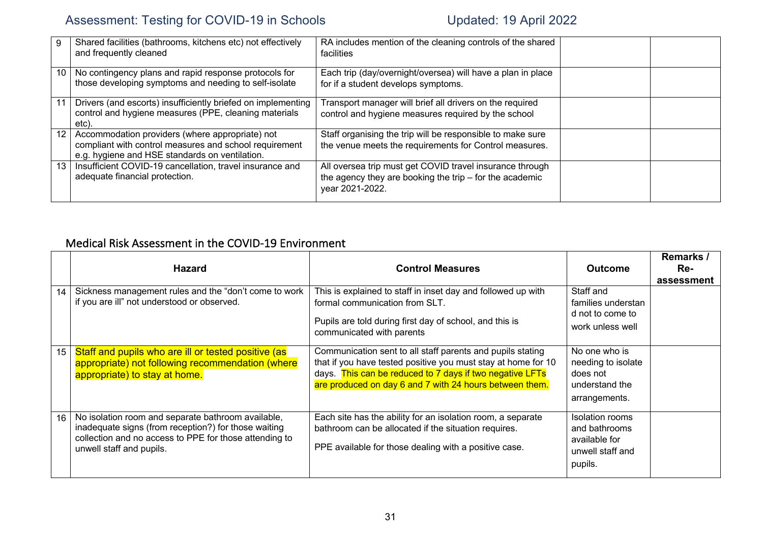|    | Shared facilities (bathrooms, kitchens etc) not effectively<br>and frequently cleaned                                                                       | RA includes mention of the cleaning controls of the shared<br>facilities                                                               |  |
|----|-------------------------------------------------------------------------------------------------------------------------------------------------------------|----------------------------------------------------------------------------------------------------------------------------------------|--|
| 10 | No contingency plans and rapid response protocols for<br>those developing symptoms and needing to self-isolate                                              | Each trip (day/overnight/oversea) will have a plan in place<br>for if a student develops symptoms.                                     |  |
| 11 | Drivers (and escorts) insufficiently briefed on implementing<br>control and hygiene measures (PPE, cleaning materials<br>etc).                              | Transport manager will brief all drivers on the required<br>control and hygiene measures required by the school                        |  |
| 12 | Accommodation providers (where appropriate) not<br>compliant with control measures and school requirement<br>e.g. hygiene and HSE standards on ventilation. | Staff organising the trip will be responsible to make sure<br>the venue meets the requirements for Control measures.                   |  |
| 13 | Insufficient COVID-19 cancellation, travel insurance and<br>adequate financial protection.                                                                  | All oversea trip must get COVID travel insurance through<br>the agency they are booking the trip - for the academic<br>year 2021-2022. |  |

### Medical Risk Assessment in the COVID-19 Environment

|    | <b>Hazard</b>                                                                                                                                                                                    | <b>Control Measures</b>                                                                                                                                                                                                                            | <b>Outcome</b>                                                                     | Remarks /<br>Re-<br>assessment |
|----|--------------------------------------------------------------------------------------------------------------------------------------------------------------------------------------------------|----------------------------------------------------------------------------------------------------------------------------------------------------------------------------------------------------------------------------------------------------|------------------------------------------------------------------------------------|--------------------------------|
| 14 | Sickness management rules and the "don't come to work<br>if you are ill" not understood or observed.                                                                                             | This is explained to staff in inset day and followed up with<br>formal communication from SLT.<br>Pupils are told during first day of school, and this is<br>communicated with parents                                                             | Staff and<br>families understan<br>d not to come to<br>work unless well            |                                |
| 15 | Staff and pupils who are ill or tested positive (as<br>appropriate) not following recommendation (where<br>appropriate) to stay at home.                                                         | Communication sent to all staff parents and pupils stating<br>that if you have tested positive you must stay at home for 10<br>days. This can be reduced to 7 days if two negative LFTs<br>are produced on day 6 and 7 with 24 hours between them. | No one who is<br>needing to isolate<br>does not<br>understand the<br>arrangements. |                                |
| 16 | No isolation room and separate bathroom available,<br>inadequate signs (from reception?) for those waiting<br>collection and no access to PPE for those attending to<br>unwell staff and pupils. | Each site has the ability for an isolation room, a separate<br>bathroom can be allocated if the situation requires.<br>PPE available for those dealing with a positive case.                                                                       | Isolation rooms<br>and bathrooms<br>available for<br>unwell staff and<br>pupils.   |                                |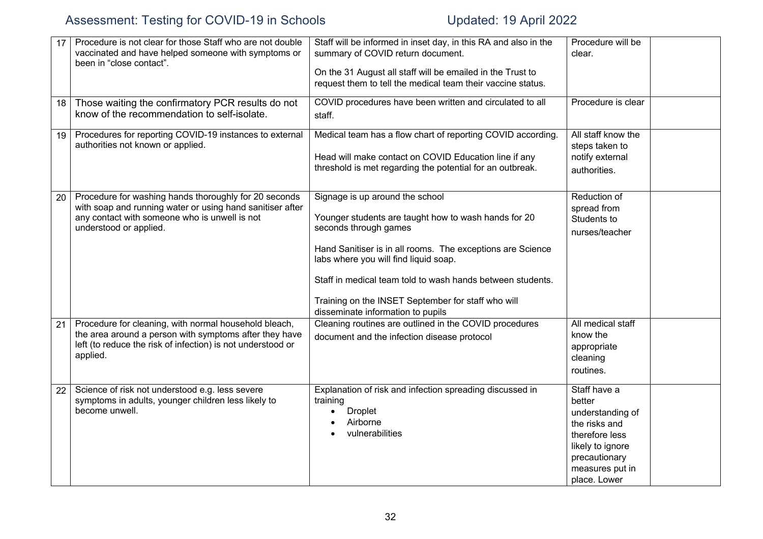| 17 | Procedure is not clear for those Staff who are not double<br>vaccinated and have helped someone with symptoms or<br>been in "close contact".                                                  | Staff will be informed in inset day, in this RA and also in the<br>summary of COVID return document.<br>On the 31 August all staff will be emailed in the Trust to<br>request them to tell the medical team their vaccine status.                                                                                                                                                | Procedure will be<br>clear.                                                                                                                           |
|----|-----------------------------------------------------------------------------------------------------------------------------------------------------------------------------------------------|----------------------------------------------------------------------------------------------------------------------------------------------------------------------------------------------------------------------------------------------------------------------------------------------------------------------------------------------------------------------------------|-------------------------------------------------------------------------------------------------------------------------------------------------------|
| 18 | Those waiting the confirmatory PCR results do not<br>know of the recommendation to self-isolate.                                                                                              | COVID procedures have been written and circulated to all<br>staff.                                                                                                                                                                                                                                                                                                               | Procedure is clear                                                                                                                                    |
| 19 | Procedures for reporting COVID-19 instances to external<br>authorities not known or applied.                                                                                                  | Medical team has a flow chart of reporting COVID according.<br>Head will make contact on COVID Education line if any<br>threshold is met regarding the potential for an outbreak.                                                                                                                                                                                                | All staff know the<br>steps taken to<br>notify external<br>authorities.                                                                               |
| 20 | Procedure for washing hands thoroughly for 20 seconds<br>with soap and running water or using hand sanitiser after<br>any contact with someone who is unwell is not<br>understood or applied. | Signage is up around the school<br>Younger students are taught how to wash hands for 20<br>seconds through games<br>Hand Sanitiser is in all rooms. The exceptions are Science<br>labs where you will find liquid soap.<br>Staff in medical team told to wash hands between students.<br>Training on the INSET September for staff who will<br>disseminate information to pupils | Reduction of<br>spread from<br>Students to<br>nurses/teacher                                                                                          |
| 21 | Procedure for cleaning, with normal household bleach,<br>the area around a person with symptoms after they have<br>left (to reduce the risk of infection) is not understood or<br>applied.    | Cleaning routines are outlined in the COVID procedures<br>document and the infection disease protocol                                                                                                                                                                                                                                                                            | All medical staff<br>know the<br>appropriate<br>cleaning<br>routines.                                                                                 |
| 22 | Science of risk not understood e.g. less severe<br>symptoms in adults, younger children less likely to<br>become unwell.                                                                      | Explanation of risk and infection spreading discussed in<br>training<br><b>Droplet</b><br>Airborne<br>vulnerabilities                                                                                                                                                                                                                                                            | Staff have a<br>better<br>understanding of<br>the risks and<br>therefore less<br>likely to ignore<br>precautionary<br>measures put in<br>place. Lower |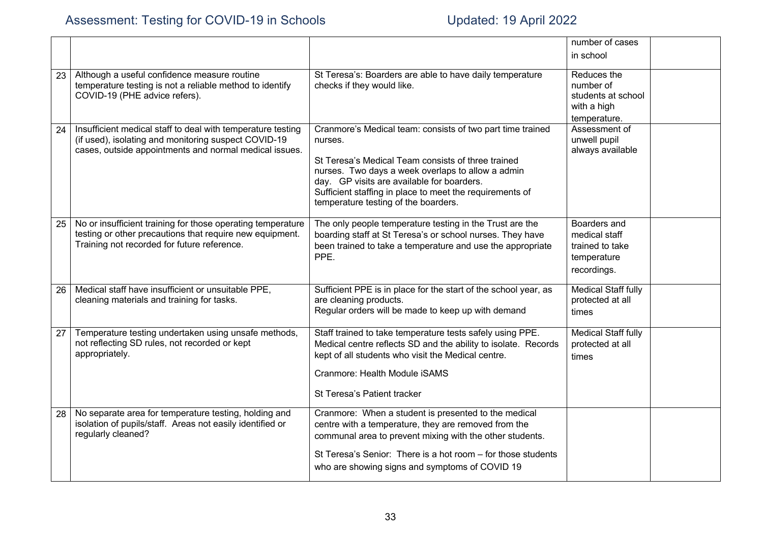|    |                                                                                                                                                                               |                                                                                                                                                                                                                                                                                                                                    | number of cases                                                                |  |
|----|-------------------------------------------------------------------------------------------------------------------------------------------------------------------------------|------------------------------------------------------------------------------------------------------------------------------------------------------------------------------------------------------------------------------------------------------------------------------------------------------------------------------------|--------------------------------------------------------------------------------|--|
|    |                                                                                                                                                                               |                                                                                                                                                                                                                                                                                                                                    | in school                                                                      |  |
| 23 | Although a useful confidence measure routine<br>temperature testing is not a reliable method to identify<br>COVID-19 (PHE advice refers).                                     | St Teresa's: Boarders are able to have daily temperature<br>checks if they would like.                                                                                                                                                                                                                                             | Reduces the<br>number of<br>students at school<br>with a high<br>temperature.  |  |
| 24 | Insufficient medical staff to deal with temperature testing<br>(if used), isolating and monitoring suspect COVID-19<br>cases, outside appointments and normal medical issues. | Cranmore's Medical team: consists of two part time trained<br>nurses.<br>St Teresa's Medical Team consists of three trained<br>nurses. Two days a week overlaps to allow a admin<br>day. GP visits are available for boarders.<br>Sufficient staffing in place to meet the requirements of<br>temperature testing of the boarders. | Assessment of<br>unwell pupil<br>always available                              |  |
| 25 | No or insufficient training for those operating temperature<br>testing or other precautions that require new equipment.<br>Training not recorded for future reference.        | The only people temperature testing in the Trust are the<br>boarding staff at St Teresa's or school nurses. They have<br>been trained to take a temperature and use the appropriate<br>PPE.                                                                                                                                        | Boarders and<br>medical staff<br>trained to take<br>temperature<br>recordings. |  |
| 26 | Medical staff have insufficient or unsuitable PPE,<br>cleaning materials and training for tasks.                                                                              | Sufficient PPE is in place for the start of the school year, as<br>are cleaning products.<br>Regular orders will be made to keep up with demand                                                                                                                                                                                    | Medical Staff fully<br>protected at all<br>times                               |  |
| 27 | Temperature testing undertaken using unsafe methods,<br>not reflecting SD rules, not recorded or kept<br>appropriately.                                                       | Staff trained to take temperature tests safely using PPE.<br>Medical centre reflects SD and the ability to isolate. Records<br>kept of all students who visit the Medical centre.<br>Cranmore: Health Module iSAMS<br>St Teresa's Patient tracker                                                                                  | <b>Medical Staff fully</b><br>protected at all<br>times                        |  |
| 28 | No separate area for temperature testing, holding and<br>isolation of pupils/staff. Areas not easily identified or<br>regularly cleaned?                                      | Cranmore: When a student is presented to the medical<br>centre with a temperature, they are removed from the<br>communal area to prevent mixing with the other students.<br>St Teresa's Senior: There is a hot room - for those students<br>who are showing signs and symptoms of COVID 19                                         |                                                                                |  |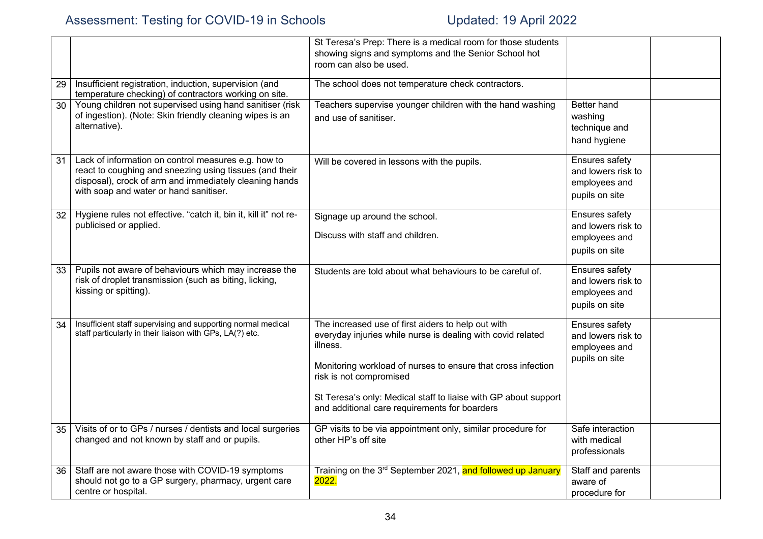|                 |                                                                                                                                                                                                                    | St Teresa's Prep: There is a medical room for those students<br>showing signs and symptoms and the Senior School hot<br>room can also be used.                                                                                                                                                                                               |                                                                                |  |
|-----------------|--------------------------------------------------------------------------------------------------------------------------------------------------------------------------------------------------------------------|----------------------------------------------------------------------------------------------------------------------------------------------------------------------------------------------------------------------------------------------------------------------------------------------------------------------------------------------|--------------------------------------------------------------------------------|--|
| 29              | Insufficient registration, induction, supervision (and<br>temperature checking) of contractors working on site.                                                                                                    | The school does not temperature check contractors.                                                                                                                                                                                                                                                                                           |                                                                                |  |
| 30              | Young children not supervised using hand sanitiser (risk<br>of ingestion). (Note: Skin friendly cleaning wipes is an<br>alternative).                                                                              | Teachers supervise younger children with the hand washing<br>and use of sanitiser.                                                                                                                                                                                                                                                           | Better hand<br>washing<br>technique and<br>hand hygiene                        |  |
| 31              | Lack of information on control measures e.g. how to<br>react to coughing and sneezing using tissues (and their<br>disposal), crock of arm and immediately cleaning hands<br>with soap and water or hand sanitiser. | Will be covered in lessons with the pupils.                                                                                                                                                                                                                                                                                                  | Ensures safety<br>and lowers risk to<br>employees and<br>pupils on site        |  |
| 32 <sup>°</sup> | Hygiene rules not effective. "catch it, bin it, kill it" not re-<br>publicised or applied.                                                                                                                         | Signage up around the school.<br>Discuss with staff and children.                                                                                                                                                                                                                                                                            | <b>Ensures safety</b><br>and lowers risk to<br>employees and<br>pupils on site |  |
| 33              | Pupils not aware of behaviours which may increase the<br>risk of droplet transmission (such as biting, licking,<br>kissing or spitting).                                                                           | Students are told about what behaviours to be careful of.                                                                                                                                                                                                                                                                                    | Ensures safety<br>and lowers risk to<br>employees and<br>pupils on site        |  |
| 34              | Insufficient staff supervising and supporting normal medical<br>staff particularly in their liaison with GPs, LA(?) etc.                                                                                           | The increased use of first aiders to help out with<br>everyday injuries while nurse is dealing with covid related<br>illness.<br>Monitoring workload of nurses to ensure that cross infection<br>risk is not compromised<br>St Teresa's only: Medical staff to liaise with GP about support<br>and additional care requirements for boarders | Ensures safety<br>and lowers risk to<br>employees and<br>pupils on site        |  |
| 35              | Visits of or to GPs / nurses / dentists and local surgeries<br>changed and not known by staff and or pupils.                                                                                                       | GP visits to be via appointment only, similar procedure for<br>other HP's off site                                                                                                                                                                                                                                                           | Safe interaction<br>with medical<br>professionals                              |  |
| 36              | Staff are not aware those with COVID-19 symptoms<br>should not go to a GP surgery, pharmacy, urgent care<br>centre or hospital.                                                                                    | Training on the 3 <sup>rd</sup> September 2021, and followed up January<br>2022.                                                                                                                                                                                                                                                             | Staff and parents<br>aware of<br>procedure for                                 |  |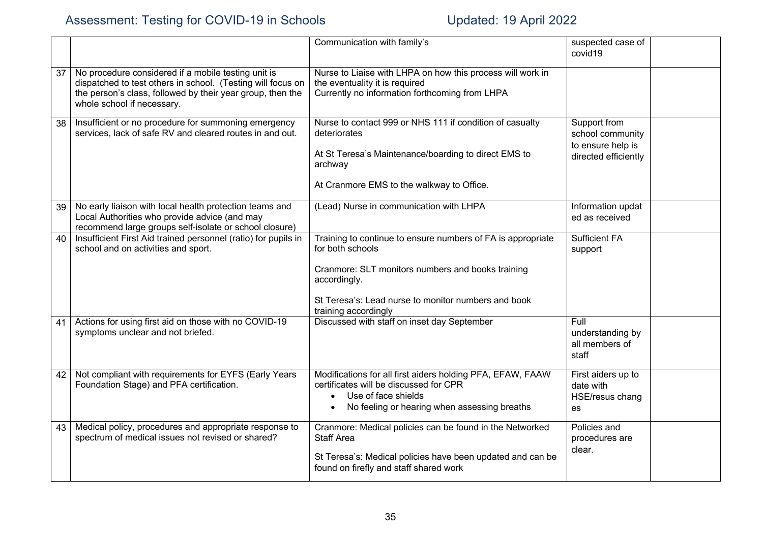|    |                                                                                                                                                                                                                | Communication with family's                                                                                                                                                                                                         | suspected case of<br>covid19                                                  |  |
|----|----------------------------------------------------------------------------------------------------------------------------------------------------------------------------------------------------------------|-------------------------------------------------------------------------------------------------------------------------------------------------------------------------------------------------------------------------------------|-------------------------------------------------------------------------------|--|
| 37 | No procedure considered if a mobile testing unit is<br>dispatched to test others in school. (Testing will focus on<br>the person's class, followed by their year group, then the<br>whole school if necessary. | Nurse to Liaise with LHPA on how this process will work in<br>the eventuality it is required<br>Currently no information forthcoming from LHPA                                                                                      |                                                                               |  |
| 38 | Insufficient or no procedure for summoning emergency<br>services, lack of safe RV and cleared routes in and out.                                                                                               | Nurse to contact 999 or NHS 111 if condition of casualty<br>deteriorates<br>At St Teresa's Maintenance/boarding to direct EMS to<br>archway<br>At Cranmore EMS to the walkway to Office.                                            | Support from<br>school community<br>to ensure help is<br>directed efficiently |  |
| 39 | No early liaison with local health protection teams and<br>Local Authorities who provide advice (and may<br>recommend large groups self-isolate or school closure)                                             | (Lead) Nurse in communication with LHPA                                                                                                                                                                                             | Information updat<br>ed as received                                           |  |
| 40 | Insufficient First Aid trained personnel (ratio) for pupils in<br>school and on activities and sport.                                                                                                          | Training to continue to ensure numbers of FA is appropriate<br>for both schools<br>Cranmore: SLT monitors numbers and books training<br>accordingly.<br>St Teresa's: Lead nurse to monitor numbers and book<br>training accordingly | <b>Sufficient FA</b><br>support                                               |  |
| 41 | Actions for using first aid on those with no COVID-19<br>symptoms unclear and not briefed.                                                                                                                     | Discussed with staff on inset day September                                                                                                                                                                                         | Full<br>understanding by<br>all members of<br>staff                           |  |
| 42 | Not compliant with requirements for EYFS (Early Years<br>Foundation Stage) and PFA certification.                                                                                                              | Modifications for all first aiders holding PFA, EFAW, FAAW<br>certificates will be discussed for CPR<br>Use of face shields<br>$\bullet$<br>No feeling or hearing when assessing breaths                                            | First aiders up to<br>date with<br>HSE/resus chang<br>es                      |  |
| 43 | Medical policy, procedures and appropriate response to<br>spectrum of medical issues not revised or shared?                                                                                                    | Cranmore: Medical policies can be found in the Networked<br><b>Staff Area</b><br>St Teresa's: Medical policies have been updated and can be<br>found on firefly and staff shared work                                               | Policies and<br>procedures are<br>clear.                                      |  |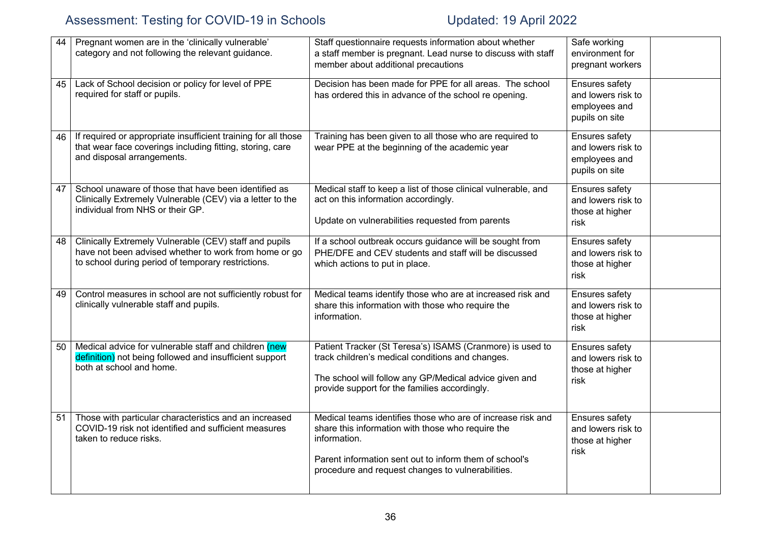| 44 | Pregnant women are in the 'clinically vulnerable'<br>category and not following the relevant guidance.                                                                | Staff questionnaire requests information about whether<br>a staff member is pregnant. Lead nurse to discuss with staff<br>member about additional precautions                                                                                   | Safe working<br>environment for<br>pregnant workers                     |  |
|----|-----------------------------------------------------------------------------------------------------------------------------------------------------------------------|-------------------------------------------------------------------------------------------------------------------------------------------------------------------------------------------------------------------------------------------------|-------------------------------------------------------------------------|--|
| 45 | Lack of School decision or policy for level of PPE<br>required for staff or pupils.                                                                                   | Decision has been made for PPE for all areas. The school<br>has ordered this in advance of the school re opening.                                                                                                                               | Ensures safety<br>and lowers risk to<br>employees and<br>pupils on site |  |
| 46 | If required or appropriate insufficient training for all those<br>that wear face coverings including fitting, storing, care<br>and disposal arrangements.             | Training has been given to all those who are required to<br>wear PPE at the beginning of the academic year                                                                                                                                      | Ensures safety<br>and lowers risk to<br>employees and<br>pupils on site |  |
| 47 | School unaware of those that have been identified as<br>Clinically Extremely Vulnerable (CEV) via a letter to the<br>individual from NHS or their GP.                 | Medical staff to keep a list of those clinical vulnerable, and<br>act on this information accordingly.<br>Update on vulnerabilities requested from parents                                                                                      | Ensures safety<br>and lowers risk to<br>those at higher<br>risk         |  |
| 48 | Clinically Extremely Vulnerable (CEV) staff and pupils<br>have not been advised whether to work from home or go<br>to school during period of temporary restrictions. | If a school outbreak occurs guidance will be sought from<br>PHE/DFE and CEV students and staff will be discussed<br>which actions to put in place.                                                                                              | Ensures safety<br>and lowers risk to<br>those at higher<br>risk         |  |
| 49 | Control measures in school are not sufficiently robust for<br>clinically vulnerable staff and pupils.                                                                 | Medical teams identify those who are at increased risk and<br>share this information with those who require the<br>information.                                                                                                                 | Ensures safety<br>and lowers risk to<br>those at higher<br>risk         |  |
| 50 | Medical advice for vulnerable staff and children (new<br>definition) not being followed and insufficient support<br>both at school and home.                          | Patient Tracker (St Teresa's) ISAMS (Cranmore) is used to<br>track children's medical conditions and changes.<br>The school will follow any GP/Medical advice given and<br>provide support for the families accordingly.                        | Ensures safety<br>and lowers risk to<br>those at higher<br>risk         |  |
| 51 | Those with particular characteristics and an increased<br>COVID-19 risk not identified and sufficient measures<br>taken to reduce risks.                              | Medical teams identifies those who are of increase risk and<br>share this information with those who require the<br>information.<br>Parent information sent out to inform them of school's<br>procedure and request changes to vulnerabilities. | Ensures safety<br>and lowers risk to<br>those at higher<br>risk         |  |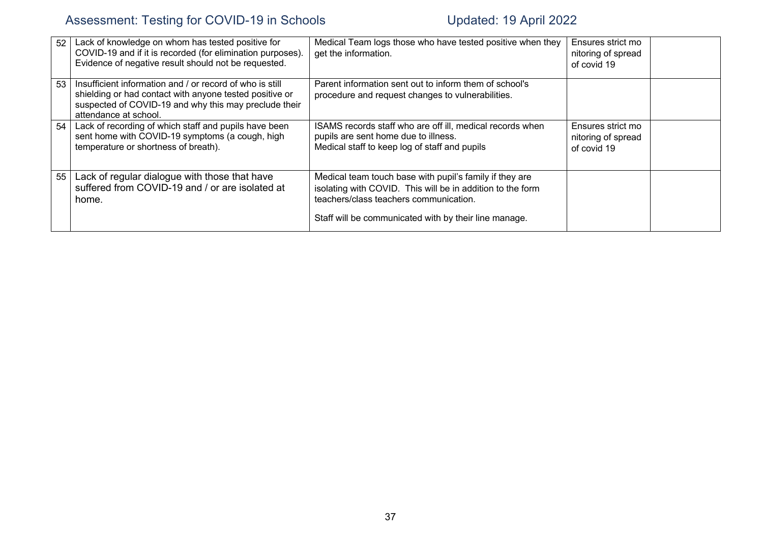| 52 | Lack of knowledge on whom has tested positive for<br>COVID-19 and if it is recorded (for elimination purposes).<br>Evidence of negative result should not be requested.                               | Medical Team logs those who have tested positive when they<br>get the information.                                                                                                                                       | Ensures strict mo<br>nitoring of spread<br>of covid 19 |  |
|----|-------------------------------------------------------------------------------------------------------------------------------------------------------------------------------------------------------|--------------------------------------------------------------------------------------------------------------------------------------------------------------------------------------------------------------------------|--------------------------------------------------------|--|
| 53 | Insufficient information and / or record of who is still<br>shielding or had contact with anyone tested positive or<br>suspected of COVID-19 and why this may preclude their<br>attendance at school. | Parent information sent out to inform them of school's<br>procedure and request changes to vulnerabilities.                                                                                                              |                                                        |  |
| 54 | Lack of recording of which staff and pupils have been<br>sent home with COVID-19 symptoms (a cough, high<br>temperature or shortness of breath).                                                      | ISAMS records staff who are off ill, medical records when<br>pupils are sent home due to illness.<br>Medical staff to keep log of staff and pupils                                                                       | Ensures strict mo<br>nitoring of spread<br>of covid 19 |  |
| 55 | Lack of regular dialogue with those that have<br>suffered from COVID-19 and / or are isolated at<br>home.                                                                                             | Medical team touch base with pupil's family if they are<br>isolating with COVID. This will be in addition to the form<br>teachers/class teachers communication.<br>Staff will be communicated with by their line manage. |                                                        |  |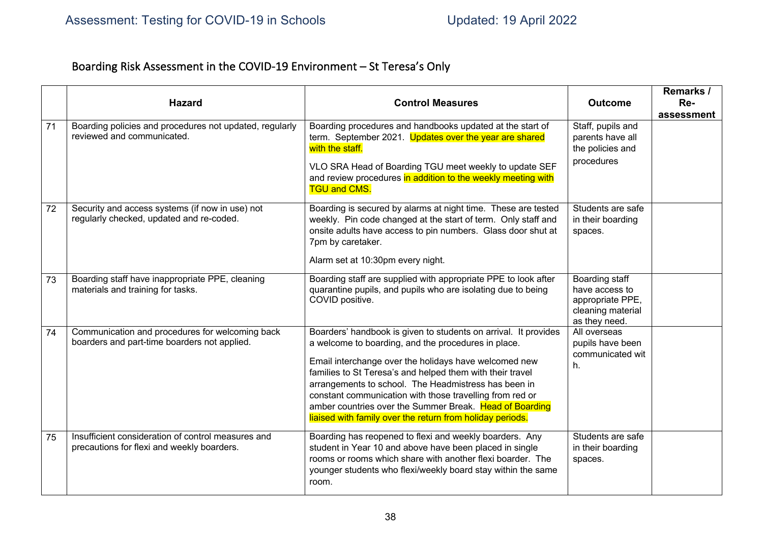# Boarding Risk Assessment in the COVID-19 Environment – St Teresa's Only

|    | <b>Hazard</b>                                                                                    | <b>Control Measures</b>                                                                                                                                                                                                                                                                                                                                                                                                                                                                  | <b>Outcome</b>                                                                             | Remarks /<br>Re- |
|----|--------------------------------------------------------------------------------------------------|------------------------------------------------------------------------------------------------------------------------------------------------------------------------------------------------------------------------------------------------------------------------------------------------------------------------------------------------------------------------------------------------------------------------------------------------------------------------------------------|--------------------------------------------------------------------------------------------|------------------|
|    |                                                                                                  |                                                                                                                                                                                                                                                                                                                                                                                                                                                                                          |                                                                                            | assessment       |
| 71 | Boarding policies and procedures not updated, regularly<br>reviewed and communicated.            | Boarding procedures and handbooks updated at the start of<br>term. September 2021. Updates over the year are shared<br>with the staff.<br>VLO SRA Head of Boarding TGU meet weekly to update SEF<br>and review procedures in addition to the weekly meeting with<br><b>TGU and CMS.</b>                                                                                                                                                                                                  | Staff, pupils and<br>parents have all<br>the policies and<br>procedures                    |                  |
| 72 | Security and access systems (if now in use) not<br>regularly checked, updated and re-coded.      | Boarding is secured by alarms at night time. These are tested<br>weekly. Pin code changed at the start of term. Only staff and<br>onsite adults have access to pin numbers. Glass door shut at<br>7pm by caretaker.<br>Alarm set at 10:30pm every night.                                                                                                                                                                                                                                 | Students are safe<br>in their boarding<br>spaces.                                          |                  |
| 73 | Boarding staff have inappropriate PPE, cleaning<br>materials and training for tasks.             | Boarding staff are supplied with appropriate PPE to look after<br>quarantine pupils, and pupils who are isolating due to being<br>COVID positive.                                                                                                                                                                                                                                                                                                                                        | Boarding staff<br>have access to<br>appropriate PPE,<br>cleaning material<br>as they need. |                  |
| 74 | Communication and procedures for welcoming back<br>boarders and part-time boarders not applied.  | Boarders' handbook is given to students on arrival. It provides<br>a welcome to boarding, and the procedures in place.<br>Email interchange over the holidays have welcomed new<br>families to St Teresa's and helped them with their travel<br>arrangements to school. The Headmistress has been in<br>constant communication with those travelling from red or<br>amber countries over the Summer Break. Head of Boarding<br>liaised with family over the return from holiday periods. | All overseas<br>pupils have been<br>communicated wit<br>h.                                 |                  |
| 75 | Insufficient consideration of control measures and<br>precautions for flexi and weekly boarders. | Boarding has reopened to flexi and weekly boarders. Any<br>student in Year 10 and above have been placed in single<br>rooms or rooms which share with another flexi boarder. The<br>younger students who flexi/weekly board stay within the same<br>room.                                                                                                                                                                                                                                | Students are safe<br>in their boarding<br>spaces.                                          |                  |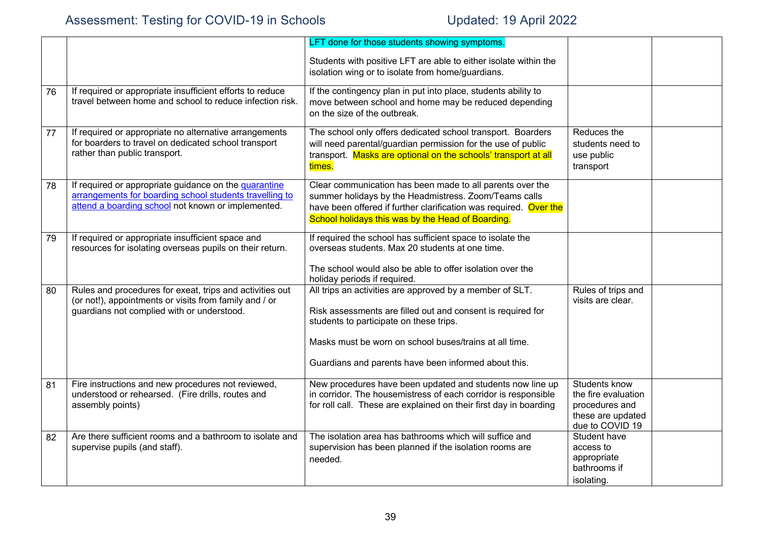|    |                                                                                                                                                                        | LFT done for those students showing symptoms.                                                                                                                                                                                                                                        |                                                                                                |  |
|----|------------------------------------------------------------------------------------------------------------------------------------------------------------------------|--------------------------------------------------------------------------------------------------------------------------------------------------------------------------------------------------------------------------------------------------------------------------------------|------------------------------------------------------------------------------------------------|--|
|    |                                                                                                                                                                        | Students with positive LFT are able to either isolate within the<br>isolation wing or to isolate from home/guardians.                                                                                                                                                                |                                                                                                |  |
| 76 | If required or appropriate insufficient efforts to reduce<br>travel between home and school to reduce infection risk.                                                  | If the contingency plan in put into place, students ability to<br>move between school and home may be reduced depending<br>on the size of the outbreak.                                                                                                                              |                                                                                                |  |
| 77 | If required or appropriate no alternative arrangements<br>for boarders to travel on dedicated school transport<br>rather than public transport.                        | The school only offers dedicated school transport. Boarders<br>will need parental/guardian permission for the use of public<br>transport. Masks are optional on the schools' transport at all<br>times.                                                                              | Reduces the<br>students need to<br>use public<br>transport                                     |  |
| 78 | If required or appropriate guidance on the quarantine<br>arrangements for boarding school students travelling to<br>attend a boarding school not known or implemented. | Clear communication has been made to all parents over the<br>summer holidays by the Headmistress. Zoom/Teams calls<br>have been offered if further clarification was required. Over the<br>School holidays this was by the Head of Boarding.                                         |                                                                                                |  |
| 79 | If required or appropriate insufficient space and<br>resources for isolating overseas pupils on their return.                                                          | If required the school has sufficient space to isolate the<br>overseas students. Max 20 students at one time.<br>The school would also be able to offer isolation over the<br>holiday periods if required.                                                                           |                                                                                                |  |
| 80 | Rules and procedures for exeat, trips and activities out<br>(or not!), appointments or visits from family and / or<br>guardians not complied with or understood.       | All trips an activities are approved by a member of SLT.<br>Risk assessments are filled out and consent is required for<br>students to participate on these trips.<br>Masks must be worn on school buses/trains at all time.<br>Guardians and parents have been informed about this. | Rules of trips and<br>visits are clear.                                                        |  |
| 81 | Fire instructions and new procedures not reviewed,<br>understood or rehearsed. (Fire drills, routes and<br>assembly points)                                            | New procedures have been updated and students now line up<br>in corridor. The housemistress of each corridor is responsible<br>for roll call. These are explained on their first day in boarding                                                                                     | Students know<br>the fire evaluation<br>procedures and<br>these are updated<br>due to COVID 19 |  |
| 82 | Are there sufficient rooms and a bathroom to isolate and<br>supervise pupils (and staff).                                                                              | The isolation area has bathrooms which will suffice and<br>supervision has been planned if the isolation rooms are<br>needed.                                                                                                                                                        | Student have<br>access to<br>appropriate<br>bathrooms if<br>isolating.                         |  |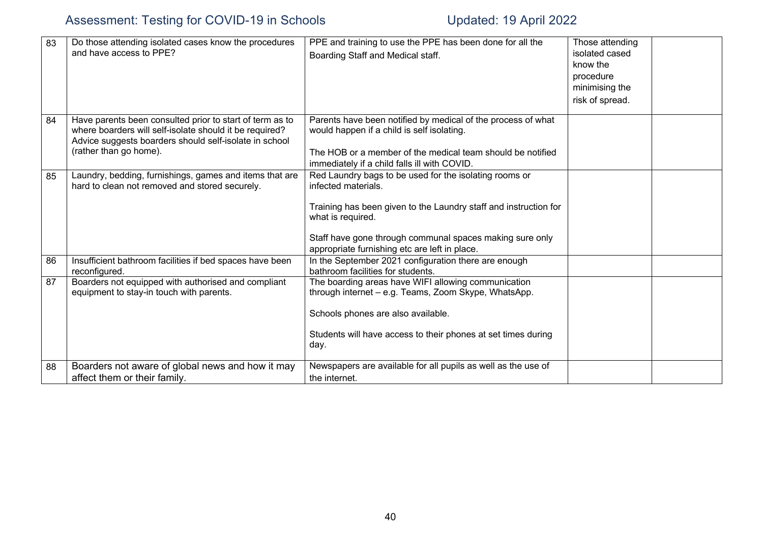| 83 | Do those attending isolated cases know the procedures<br>and have access to PPE?                                                                                                                        | PPE and training to use the PPE has been done for all the<br>Boarding Staff and Medical staff.                                                                                                                                                                                      | Those attending<br>isolated cased<br>know the<br>procedure<br>minimising the<br>risk of spread. |  |
|----|---------------------------------------------------------------------------------------------------------------------------------------------------------------------------------------------------------|-------------------------------------------------------------------------------------------------------------------------------------------------------------------------------------------------------------------------------------------------------------------------------------|-------------------------------------------------------------------------------------------------|--|
| 84 | Have parents been consulted prior to start of term as to<br>where boarders will self-isolate should it be required?<br>Advice suggests boarders should self-isolate in school<br>(rather than go home). | Parents have been notified by medical of the process of what<br>would happen if a child is self isolating.<br>The HOB or a member of the medical team should be notified<br>immediately if a child falls ill with COVID.                                                            |                                                                                                 |  |
| 85 | Laundry, bedding, furnishings, games and items that are<br>hard to clean not removed and stored securely.                                                                                               | Red Laundry bags to be used for the isolating rooms or<br>infected materials.<br>Training has been given to the Laundry staff and instruction for<br>what is required.<br>Staff have gone through communal spaces making sure only<br>appropriate furnishing etc are left in place. |                                                                                                 |  |
| 86 | Insufficient bathroom facilities if bed spaces have been<br>reconfigured.                                                                                                                               | In the September 2021 configuration there are enough<br>bathroom facilities for students.                                                                                                                                                                                           |                                                                                                 |  |
| 87 | Boarders not equipped with authorised and compliant<br>equipment to stay-in touch with parents.                                                                                                         | The boarding areas have WIFI allowing communication<br>through internet - e.g. Teams, Zoom Skype, WhatsApp.<br>Schools phones are also available.<br>Students will have access to their phones at set times during<br>day.                                                          |                                                                                                 |  |
| 88 | Boarders not aware of global news and how it may<br>affect them or their family.                                                                                                                        | Newspapers are available for all pupils as well as the use of<br>the internet.                                                                                                                                                                                                      |                                                                                                 |  |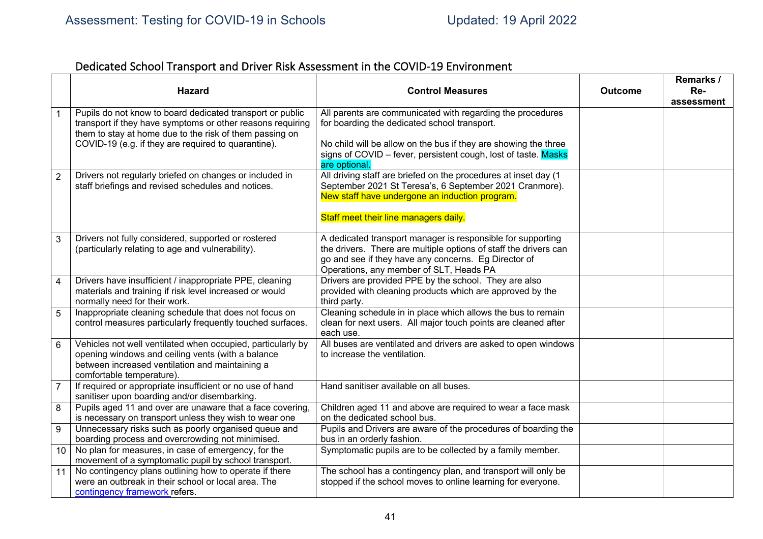# Dedicated School Transport and Driver Risk Assessment in the COVID-19 Environment

|                 | <b>Hazard</b>                                                                                                                                                                                    | <b>Control Measures</b>                                                                                                                                                                                                            | <b>Outcome</b> | Remarks /<br>Re-<br>assessment |
|-----------------|--------------------------------------------------------------------------------------------------------------------------------------------------------------------------------------------------|------------------------------------------------------------------------------------------------------------------------------------------------------------------------------------------------------------------------------------|----------------|--------------------------------|
| 1               | Pupils do not know to board dedicated transport or public<br>transport if they have symptoms or other reasons requiring<br>them to stay at home due to the risk of them passing on               | All parents are communicated with regarding the procedures<br>for boarding the dedicated school transport.                                                                                                                         |                |                                |
|                 | COVID-19 (e.g. if they are required to quarantine).                                                                                                                                              | No child will be allow on the bus if they are showing the three<br>signs of COVID – fever, persistent cough, lost of taste. Masks<br>are optional.                                                                                 |                |                                |
| $\overline{2}$  | Drivers not regularly briefed on changes or included in<br>staff briefings and revised schedules and notices.                                                                                    | All driving staff are briefed on the procedures at inset day (1<br>September 2021 St Teresa's, 6 September 2021 Cranmore).<br>New staff have undergone an induction program.                                                       |                |                                |
|                 |                                                                                                                                                                                                  | Staff meet their line managers daily.                                                                                                                                                                                              |                |                                |
| 3               | Drivers not fully considered, supported or rostered<br>(particularly relating to age and vulnerability).                                                                                         | A dedicated transport manager is responsible for supporting<br>the drivers. There are multiple options of staff the drivers can<br>go and see if they have any concerns. Eg Director of<br>Operations, any member of SLT, Heads PA |                |                                |
| $\overline{4}$  | Drivers have insufficient / inappropriate PPE, cleaning<br>materials and training if risk level increased or would<br>normally need for their work.                                              | Drivers are provided PPE by the school. They are also<br>provided with cleaning products which are approved by the<br>third party.                                                                                                 |                |                                |
| 5               | Inappropriate cleaning schedule that does not focus on<br>control measures particularly frequently touched surfaces.                                                                             | Cleaning schedule in in place which allows the bus to remain<br>clean for next users. All major touch points are cleaned after<br>each use.                                                                                        |                |                                |
| $6\phantom{1}$  | Vehicles not well ventilated when occupied, particularly by<br>opening windows and ceiling vents (with a balance<br>between increased ventilation and maintaining a<br>comfortable temperature). | All buses are ventilated and drivers are asked to open windows<br>to increase the ventilation.                                                                                                                                     |                |                                |
| $\overline{7}$  | If required or appropriate insufficient or no use of hand<br>sanitiser upon boarding and/or disembarking.                                                                                        | Hand sanitiser available on all buses.                                                                                                                                                                                             |                |                                |
| 8               | Pupils aged 11 and over are unaware that a face covering,<br>is necessary on transport unless they wish to wear one                                                                              | Children aged 11 and above are required to wear a face mask<br>on the dedicated school bus.                                                                                                                                        |                |                                |
| $9\,$           | Unnecessary risks such as poorly organised queue and<br>boarding process and overcrowding not minimised.                                                                                         | Pupils and Drivers are aware of the procedures of boarding the<br>bus in an orderly fashion.                                                                                                                                       |                |                                |
| 10 <sup>1</sup> | No plan for measures, in case of emergency, for the<br>movement of a symptomatic pupil by school transport.                                                                                      | Symptomatic pupils are to be collected by a family member.                                                                                                                                                                         |                |                                |
| 11              | No contingency plans outlining how to operate if there<br>were an outbreak in their school or local area. The<br>contingency framework refers.                                                   | The school has a contingency plan, and transport will only be<br>stopped if the school moves to online learning for everyone.                                                                                                      |                |                                |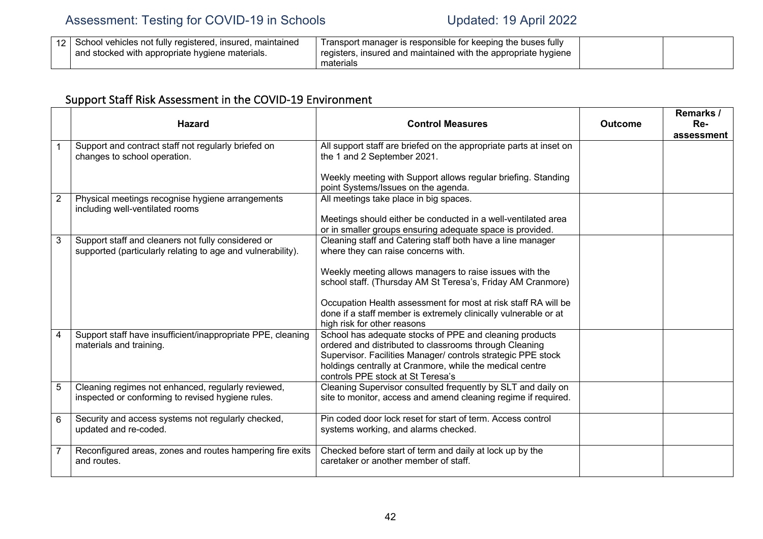|  | School vehicles not fully registered, insured, r<br>. maintained<br>and stocked with appropriate hygiene materials. | Transport manager is responsible for keeping the buses fully<br>registers, insured and maintained with the appropriate hygiene<br>materials |  |  |
|--|---------------------------------------------------------------------------------------------------------------------|---------------------------------------------------------------------------------------------------------------------------------------------|--|--|
|--|---------------------------------------------------------------------------------------------------------------------|---------------------------------------------------------------------------------------------------------------------------------------------|--|--|

# Support Staff Risk Assessment in the COVID-19 Environment

|   | <b>Hazard</b>                                                                                                     | <b>Control Measures</b>                                                                                                                                                                                                                                                            | <b>Outcome</b> | Remarks /<br>Re-<br>assessment |
|---|-------------------------------------------------------------------------------------------------------------------|------------------------------------------------------------------------------------------------------------------------------------------------------------------------------------------------------------------------------------------------------------------------------------|----------------|--------------------------------|
|   | Support and contract staff not regularly briefed on<br>changes to school operation.                               | All support staff are briefed on the appropriate parts at inset on<br>the 1 and 2 September 2021.                                                                                                                                                                                  |                |                                |
|   |                                                                                                                   | Weekly meeting with Support allows regular briefing. Standing<br>point Systems/Issues on the agenda.                                                                                                                                                                               |                |                                |
| 2 | Physical meetings recognise hygiene arrangements<br>including well-ventilated rooms                               | All meetings take place in big spaces.                                                                                                                                                                                                                                             |                |                                |
|   |                                                                                                                   | Meetings should either be conducted in a well-ventilated area<br>or in smaller groups ensuring adequate space is provided.                                                                                                                                                         |                |                                |
| 3 | Support staff and cleaners not fully considered or<br>supported (particularly relating to age and vulnerability). | Cleaning staff and Catering staff both have a line manager<br>where they can raise concerns with.                                                                                                                                                                                  |                |                                |
|   |                                                                                                                   | Weekly meeting allows managers to raise issues with the<br>school staff. (Thursday AM St Teresa's, Friday AM Cranmore)                                                                                                                                                             |                |                                |
|   |                                                                                                                   | Occupation Health assessment for most at risk staff RA will be<br>done if a staff member is extremely clinically vulnerable or at<br>high risk for other reasons                                                                                                                   |                |                                |
| 4 | Support staff have insufficient/inappropriate PPE, cleaning<br>materials and training.                            | School has adequate stocks of PPE and cleaning products<br>ordered and distributed to classrooms through Cleaning<br>Supervisor. Facilities Manager/ controls strategic PPE stock<br>holdings centrally at Cranmore, while the medical centre<br>controls PPE stock at St Teresa's |                |                                |
| 5 | Cleaning regimes not enhanced, regularly reviewed,<br>inspected or conforming to revised hygiene rules.           | Cleaning Supervisor consulted frequently by SLT and daily on<br>site to monitor, access and amend cleaning regime if required.                                                                                                                                                     |                |                                |
| 6 | Security and access systems not regularly checked,<br>updated and re-coded.                                       | Pin coded door lock reset for start of term. Access control<br>systems working, and alarms checked.                                                                                                                                                                                |                |                                |
|   | Reconfigured areas, zones and routes hampering fire exits<br>and routes.                                          | Checked before start of term and daily at lock up by the<br>caretaker or another member of staff.                                                                                                                                                                                  |                |                                |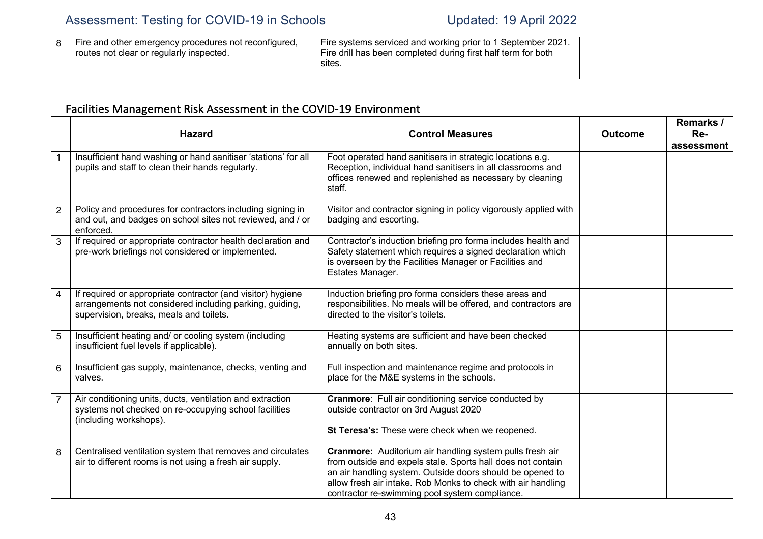|  | Fire and other emergency procedures not reconfigured,<br>' routes not clear or regularly inspected. | Fire systems serviced and working prior to 1 September 2021.<br>Fire drill has been completed during first half term for both<br>sites. |  |  |
|--|-----------------------------------------------------------------------------------------------------|-----------------------------------------------------------------------------------------------------------------------------------------|--|--|
|--|-----------------------------------------------------------------------------------------------------|-----------------------------------------------------------------------------------------------------------------------------------------|--|--|

# Facilities Management Risk Assessment in the COVID-19 Environment

|                 | <b>Hazard</b>                                                                                                                                                     | <b>Control Measures</b>                                                                                                                                                                                                                                                                                | <b>Outcome</b> | Remarks /<br>Re-<br>assessment |
|-----------------|-------------------------------------------------------------------------------------------------------------------------------------------------------------------|--------------------------------------------------------------------------------------------------------------------------------------------------------------------------------------------------------------------------------------------------------------------------------------------------------|----------------|--------------------------------|
|                 | Insufficient hand washing or hand sanitiser 'stations' for all<br>pupils and staff to clean their hands regularly.                                                | Foot operated hand sanitisers in strategic locations e.g.<br>Reception, individual hand sanitisers in all classrooms and<br>offices renewed and replenished as necessary by cleaning<br>staff.                                                                                                         |                |                                |
| $\overline{2}$  | Policy and procedures for contractors including signing in<br>and out, and badges on school sites not reviewed, and / or<br>enforced.                             | Visitor and contractor signing in policy vigorously applied with<br>badging and escorting.                                                                                                                                                                                                             |                |                                |
| 3               | If required or appropriate contractor health declaration and<br>pre-work briefings not considered or implemented.                                                 | Contractor's induction briefing pro forma includes health and<br>Safety statement which requires a signed declaration which<br>is overseen by the Facilities Manager or Facilities and<br>Estates Manager.                                                                                             |                |                                |
| $\overline{4}$  | If required or appropriate contractor (and visitor) hygiene<br>arrangements not considered including parking, guiding,<br>supervision, breaks, meals and toilets. | Induction briefing pro forma considers these areas and<br>responsibilities. No meals will be offered, and contractors are<br>directed to the visitor's toilets.                                                                                                                                        |                |                                |
| 5               | Insufficient heating and/ or cooling system (including<br>insufficient fuel levels if applicable).                                                                | Heating systems are sufficient and have been checked<br>annually on both sites.                                                                                                                                                                                                                        |                |                                |
| $6\phantom{1}6$ | Insufficient gas supply, maintenance, checks, venting and<br>valves.                                                                                              | Full inspection and maintenance regime and protocols in<br>place for the M&E systems in the schools.                                                                                                                                                                                                   |                |                                |
|                 | Air conditioning units, ducts, ventilation and extraction<br>systems not checked on re-occupying school facilities<br>(including workshops).                      | Cranmore: Full air conditioning service conducted by<br>outside contractor on 3rd August 2020<br>St Teresa's: These were check when we reopened.                                                                                                                                                       |                |                                |
| 8               | Centralised ventilation system that removes and circulates<br>air to different rooms is not using a fresh air supply.                                             | Cranmore: Auditorium air handling system pulls fresh air<br>from outside and expels stale. Sports hall does not contain<br>an air handling system. Outside doors should be opened to<br>allow fresh air intake. Rob Monks to check with air handling<br>contractor re-swimming pool system compliance. |                |                                |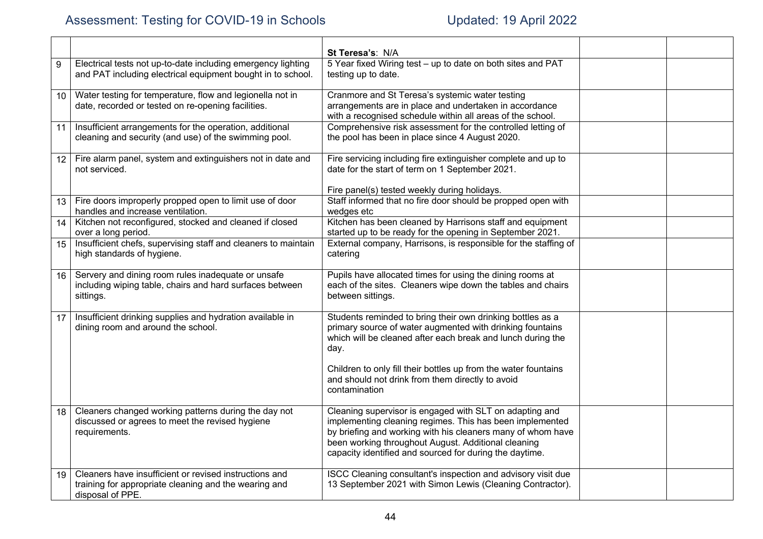|                  |                                                                                                                                     | St Teresa's: N/A                                                                                                                                                                                                                                                                                     |  |
|------------------|-------------------------------------------------------------------------------------------------------------------------------------|------------------------------------------------------------------------------------------------------------------------------------------------------------------------------------------------------------------------------------------------------------------------------------------------------|--|
| 9                | Electrical tests not up-to-date including emergency lighting<br>and PAT including electrical equipment bought in to school.         | 5 Year fixed Wiring test - up to date on both sites and PAT<br>testing up to date.                                                                                                                                                                                                                   |  |
| 10               | Water testing for temperature, flow and legionella not in<br>date, recorded or tested on re-opening facilities.                     | Cranmore and St Teresa's systemic water testing<br>arrangements are in place and undertaken in accordance<br>with a recognised schedule within all areas of the school.                                                                                                                              |  |
| 11               | Insufficient arrangements for the operation, additional<br>cleaning and security (and use) of the swimming pool.                    | Comprehensive risk assessment for the controlled letting of<br>the pool has been in place since 4 August 2020.                                                                                                                                                                                       |  |
| 12 <sup>12</sup> | Fire alarm panel, system and extinguishers not in date and<br>not serviced.                                                         | Fire servicing including fire extinguisher complete and up to<br>date for the start of term on 1 September 2021.                                                                                                                                                                                     |  |
| 13               | Fire doors improperly propped open to limit use of door<br>handles and increase ventilation.                                        | Fire panel(s) tested weekly during holidays.<br>Staff informed that no fire door should be propped open with<br>wedges etc                                                                                                                                                                           |  |
| 14               | Kitchen not reconfigured, stocked and cleaned if closed<br>over a long period.                                                      | Kitchen has been cleaned by Harrisons staff and equipment<br>started up to be ready for the opening in September 2021.                                                                                                                                                                               |  |
| 15               | Insufficient chefs, supervising staff and cleaners to maintain<br>high standards of hygiene.                                        | External company, Harrisons, is responsible for the staffing of<br>catering                                                                                                                                                                                                                          |  |
| 16               | Servery and dining room rules inadequate or unsafe<br>including wiping table, chairs and hard surfaces between<br>sittings.         | Pupils have allocated times for using the dining rooms at<br>each of the sites. Cleaners wipe down the tables and chairs<br>between sittings.                                                                                                                                                        |  |
| 17               | Insufficient drinking supplies and hydration available in<br>dining room and around the school.                                     | Students reminded to bring their own drinking bottles as a<br>primary source of water augmented with drinking fountains<br>which will be cleaned after each break and lunch during the<br>day.                                                                                                       |  |
|                  |                                                                                                                                     | Children to only fill their bottles up from the water fountains<br>and should not drink from them directly to avoid<br>contamination                                                                                                                                                                 |  |
| 18               | Cleaners changed working patterns during the day not<br>discussed or agrees to meet the revised hygiene<br>requirements.            | Cleaning supervisor is engaged with SLT on adapting and<br>implementing cleaning regimes. This has been implemented<br>by briefing and working with his cleaners many of whom have<br>been working throughout August. Additional cleaning<br>capacity identified and sourced for during the daytime. |  |
| 19               | Cleaners have insufficient or revised instructions and<br>training for appropriate cleaning and the wearing and<br>disposal of PPE. | ISCC Cleaning consultant's inspection and advisory visit due<br>13 September 2021 with Simon Lewis (Cleaning Contractor).                                                                                                                                                                            |  |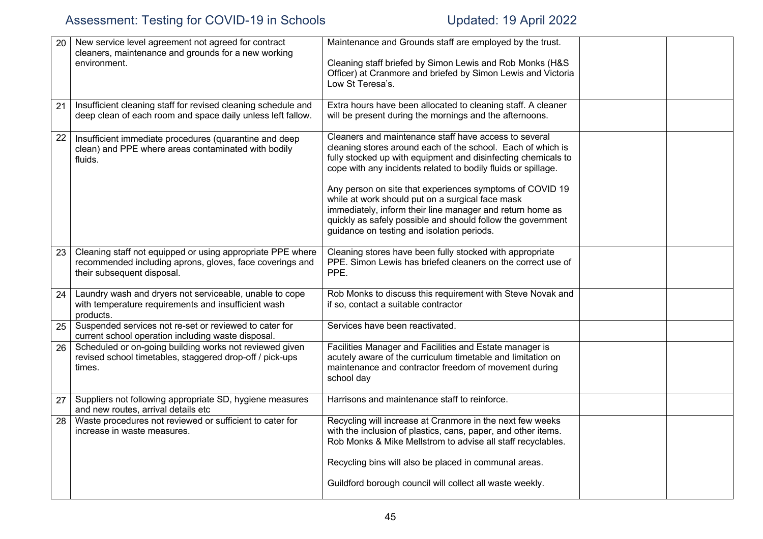| 20 | New service level agreement not agreed for contract<br>cleaners, maintenance and grounds for a new working<br>environment.                           | Maintenance and Grounds staff are employed by the trust.<br>Cleaning staff briefed by Simon Lewis and Rob Monks (H&S                                                                                                                                                                                               |  |
|----|------------------------------------------------------------------------------------------------------------------------------------------------------|--------------------------------------------------------------------------------------------------------------------------------------------------------------------------------------------------------------------------------------------------------------------------------------------------------------------|--|
|    |                                                                                                                                                      | Officer) at Cranmore and briefed by Simon Lewis and Victoria<br>Low St Teresa's.                                                                                                                                                                                                                                   |  |
| 21 | Insufficient cleaning staff for revised cleaning schedule and<br>deep clean of each room and space daily unless left fallow.                         | Extra hours have been allocated to cleaning staff. A cleaner<br>will be present during the mornings and the afternoons.                                                                                                                                                                                            |  |
| 22 | Insufficient immediate procedures (quarantine and deep<br>clean) and PPE where areas contaminated with bodily<br>fluids.                             | Cleaners and maintenance staff have access to several<br>cleaning stores around each of the school. Each of which is<br>fully stocked up with equipment and disinfecting chemicals to<br>cope with any incidents related to bodily fluids or spillage.<br>Any person on site that experiences symptoms of COVID 19 |  |
|    |                                                                                                                                                      | while at work should put on a surgical face mask<br>immediately, inform their line manager and return home as<br>quickly as safely possible and should follow the government<br>guidance on testing and isolation periods.                                                                                         |  |
| 23 | Cleaning staff not equipped or using appropriate PPE where<br>recommended including aprons, gloves, face coverings and<br>their subsequent disposal. | Cleaning stores have been fully stocked with appropriate<br>PPE. Simon Lewis has briefed cleaners on the correct use of<br>PPE.                                                                                                                                                                                    |  |
| 24 | Laundry wash and dryers not serviceable, unable to cope<br>with temperature requirements and insufficient wash<br>products.                          | Rob Monks to discuss this requirement with Steve Novak and<br>if so, contact a suitable contractor                                                                                                                                                                                                                 |  |
| 25 | Suspended services not re-set or reviewed to cater for<br>current school operation including waste disposal.                                         | Services have been reactivated.                                                                                                                                                                                                                                                                                    |  |
| 26 | Scheduled or on-going building works not reviewed given<br>revised school timetables, staggered drop-off / pick-ups<br>times.                        | Facilities Manager and Facilities and Estate manager is<br>acutely aware of the curriculum timetable and limitation on<br>maintenance and contractor freedom of movement during<br>school day                                                                                                                      |  |
| 27 | Suppliers not following appropriate SD, hygiene measures<br>and new routes, arrival details etc                                                      | Harrisons and maintenance staff to reinforce.                                                                                                                                                                                                                                                                      |  |
| 28 | Waste procedures not reviewed or sufficient to cater for<br>increase in waste measures.                                                              | Recycling will increase at Cranmore in the next few weeks<br>with the inclusion of plastics, cans, paper, and other items.<br>Rob Monks & Mike Mellstrom to advise all staff recyclables.                                                                                                                          |  |
|    |                                                                                                                                                      | Recycling bins will also be placed in communal areas.                                                                                                                                                                                                                                                              |  |
|    |                                                                                                                                                      | Guildford borough council will collect all waste weekly.                                                                                                                                                                                                                                                           |  |